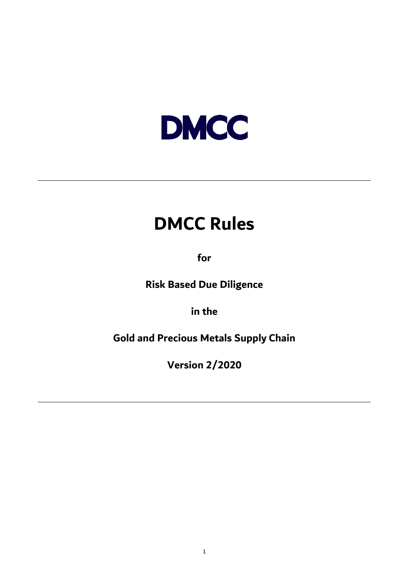

# **DMCC Rules**

**for**

**Risk Based Due Diligence**

**in the**

**Gold and Precious Metals Supply Chain**

**Version 2/2020**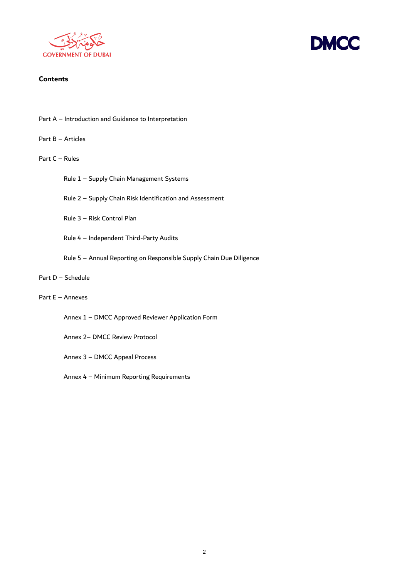



# **Contents**

- Part A Introduction and Guidance to Interpretation
- Part B Articles

# Part C – Rules

- Rule 1 Supply Chain Management Systems
- Rule 2 Supply Chain Risk Identification and Assessment
- Rule 3 Risk Control Plan
- Rule 4 Independent Third-Party Audits
- Rule 5 Annual Reporting on Responsible Supply Chain Due Diligence
- Part D Schedule

# Part E – Annexes

- Annex 1 DMCC Approved Reviewer Application Form
- Annex 2– DMCC Review Protocol
- Annex 3 DMCC Appeal Process
- Annex 4 Minimum Reporting Requirements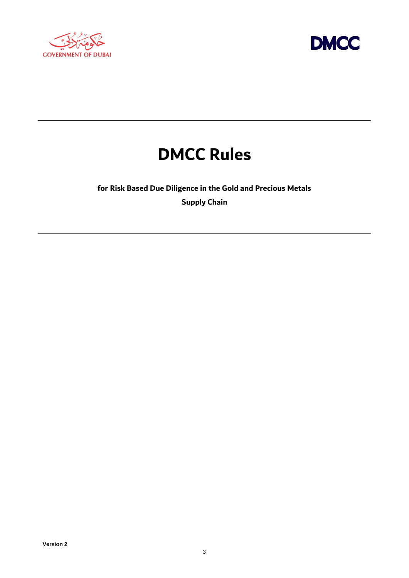



# **DMCC Rules**

**for Risk Based Due Diligence in the Gold and Precious Metals** 

**Supply Chain**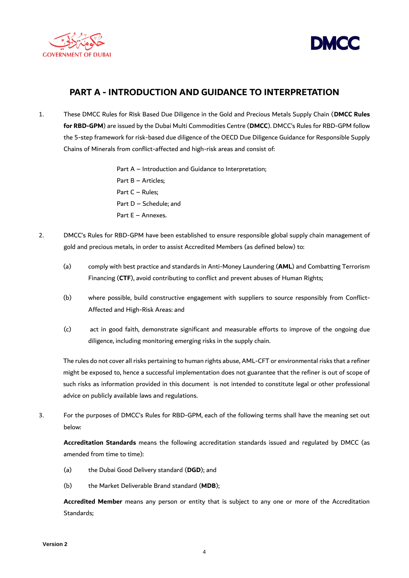



# **PART A - INTRODUCTION AND GUIDANCE TO INTERPRETATION**

- 1. These DMCC Rules for Risk Based Due Diligence in the Gold and Precious Metals Supply Chain (**DMCC Rules for RBD-GPM**) are issued by the Dubai Multi Commodities Centre (**DMCC**). DMCC's Rules for RBD-GPM follow the 5-step framework for risk-based due diligence of the OECD Due Diligence Guidance for Responsible Supply Chains of Minerals from conflict-affected and high-risk areas and consist of:
	- Part A Introduction and Guidance to Interpretation; Part B – Articles; Part C – Rules; Part D – Schedule; and Part E – Annexes.
- 2. DMCC's Rules for RBD-GPM have been established to ensure responsible global supply chain management of gold and precious metals, in order to assist Accredited Members (as defined below) to:
	- (a) comply with best practice and standards in Anti-Money Laundering (**AML**) and Combatting Terrorism Financing (**CTF**), avoid contributing to conflict and prevent abuses of Human Rights;
	- (b) where possible, build constructive engagement with suppliers to source responsibly from Conflict-Affected and High-Risk Areas: and
	- (c) act in good faith, demonstrate significant and measurable efforts to improve of the ongoing due diligence, including monitoring emerging risks in the supply chain.

The rules do not cover all risks pertaining to human rights abuse, AML-CFT or environmental risks that a refiner might be exposed to, hence a successful implementation does not guarantee that the refiner is out of scope of such risks as information provided in this document is not intended to constitute legal or other professional advice on publicly available laws and regulations.

3. For the purposes of DMCC's Rules for RBD-GPM, each of the following terms shall have the meaning set out below:

**Accreditation Standards** means the following accreditation standards issued and regulated by DMCC (as amended from time to time):

- (a) the Dubai Good Delivery standard (**DGD**); and
- (b) the Market Deliverable Brand standard (**MDB**);

**Accredited Member** means any person or entity that is subject to any one or more of the Accreditation Standards;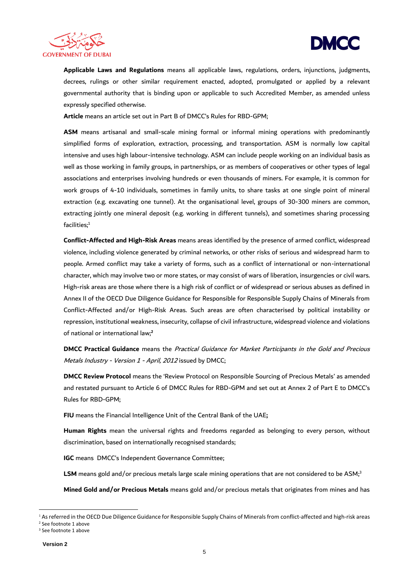



**Applicable Laws and Regulations** means all applicable laws, regulations, orders, injunctions, judgments, decrees, rulings or other similar requirement enacted, adopted, promulgated or applied by a relevant governmental authority that is binding upon or applicable to such Accredited Member, as amended unless expressly specified otherwise.

**Article** means an article set out in Part B of DMCC's Rules for RBD-GPM;

**ASM** means artisanal and small-scale mining formal or informal mining operations with predominantly simplified forms of exploration, extraction, processing, and transportation. ASM is normally low capital intensive and uses high labour-intensive technology. ASM can include people working on an individual basis as well as those working in family groups, in partnerships, or as members of cooperatives or other types of legal associations and enterprises involving hundreds or even thousands of miners. For example, it is common for work groups of 4-10 individuals, sometimes in family units, to share tasks at one single point of mineral extraction (e.g. excavating one tunnel). At the organisational level, groups of 30-300 miners are common, extracting jointly one mineral deposit (e.g. working in different tunnels), and sometimes sharing processing facilities; 1

**Conflict-Affected and High-Risk Areas** means areas identified by the presence of armed conflict, widespread violence, including violence generated by criminal networks, or other risks of serious and widespread harm to people. Armed conflict may take a variety of forms, such as a conflict of international or non-international character, which may involve two or more states, or may consist of wars of liberation, insurgencies or civil wars. High-risk areas are those where there is a high risk of conflict or of widespread or serious abuses as defined in Annex II of the OECD Due Diligence Guidance for Responsible for Responsible Supply Chains of Minerals from Conflict-Affected and/or High-Risk Areas. Such areas are often characterised by political instability or repression, institutional weakness, insecurity, collapse of civil infrastructure, widespread violence and violations of national or international law; **2**

**DMCC Practical Guidance** means the Practical Guidance for Market Participants in the Gold and Precious Metals Industry - Version 1 - April, 2012 issued by DMCC;

**DMCC Review Protocol** means the 'Review Protocol on Responsible Sourcing of Precious Metals' as amended and restated pursuant to Article 6 of DMCC Rules for RBD-GPM and set out at Annex 2 of Part E to DMCC's Rules for RBD-GPM;

**FIU** means the Financial Intelligence Unit of the Central Bank of the UAE**;**

**Human Rights** mean the universal rights and freedoms regarded as belonging to every person, without discrimination, based on internationally recognised standards;

**IGC** means DMCC's Independent Governance Committee;

LSM means gold and/or precious metals large scale mining operations that are not considered to be ASM;<sup>3</sup>

**Mined Gold and/or Precious Metals** means gold and/or precious metals that originates from mines and has

<sup>2</sup> See footnote 1 above

<sup>&</sup>lt;sup>1</sup> As referred in the OECD Due Diligence Guidance for Responsible Supply Chains of Minerals from conflict-affected and high-risk areas

<sup>&</sup>lt;sup>3</sup> See footnote 1 above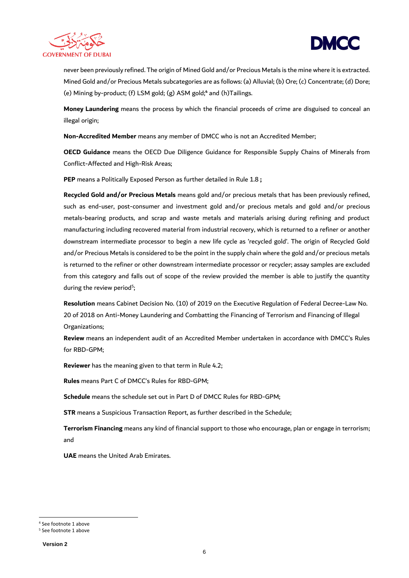



never been previously refined. The origin of Mined Gold and/or Precious Metals is the mine where it is extracted. Mined Gold and/or Precious Metals subcategories are as follows: (a) Alluvial; (b) Ore; (c) Concentrate; (d) Dore; (e) Mining by-product; (f) LSM gold; (g) ASM gold; **<sup>4</sup>** and (h)Tailings.

**Money Laundering** means the process by which the financial proceeds of crime are disguised to conceal an illegal origin;

**Non-Accredited Member** means any member of DMCC who is not an Accredited Member;

**OECD Guidance** means the OECD Due Diligence Guidance for Responsible Supply Chains of Minerals from Conflict-Affected and High-Risk Areas;

**PEP** means a Politically Exposed Person as further detailed i[n Rule 1.8](#page-11-0) **;**

**Recycled Gold and/or Precious Metals** means gold and/or precious metals that has been previously refined, such as end-user, post-consumer and investment gold and/or precious metals and gold and/or precious metals-bearing products, and scrap and waste metals and materials arising during refining and product manufacturing including recovered material from industrial recovery, which is returned to a refiner or another downstream intermediate processor to begin a new life cycle as 'recycled gold'. The origin of Recycled Gold and/or Precious Metals is considered to be the point in the supply chain where the gold and/or precious metals is returned to the refiner or other downstream intermediate processor or recycler; assay samples are excluded from this category and falls out of scope of the review provided the member is able to justify the quantity during the review period<sup>5</sup>; ;

**Resolution** means Cabinet Decision No. (10) of 2019 on the Executive Regulation of Federal Decree-Law No. 20 of 2018 on Anti-Money Laundering and Combatting the Financing of Terrorism and Financing of Illegal Organizations;

**Review** means an independent audit of an Accredited Member undertaken in accordance with DMCC's Rules for RBD-GPM;

**Reviewer** has the meaning given to that term in Rule 4.2;

**Rules** means Part C of DMCC's Rules for RBD-GPM;

**Schedule** means the schedule set out in Part D of DMCC Rules for RBD-GPM;

**STR** means a Suspicious Transaction Report, as further described in the Schedule;

**Terrorism Financing** means any kind of financial support to those who encourage, plan or engage in terrorism; and

**UAE** means the United Arab Emirates.

<sup>4</sup> See footnote 1 above

<sup>5</sup> See footnote 1 above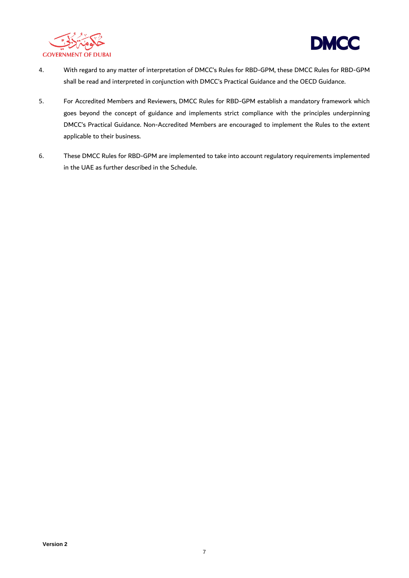



- 4. With regard to any matter of interpretation of DMCC's Rules for RBD-GPM, these DMCC Rules for RBD-GPM shall be read and interpreted in conjunction with DMCC's Practical Guidance and the OECD Guidance.
- 5. For Accredited Members and Reviewers, DMCC Rules for RBD-GPM establish a mandatory framework which goes beyond the concept of guidance and implements strict compliance with the principles underpinning DMCC's Practical Guidance. Non-Accredited Members are encouraged to implement the Rules to the extent applicable to their business.
- 6. These DMCC Rules for RBD-GPM are implemented to take into account regulatory requirements implemented in the UAE as further described in the Schedule.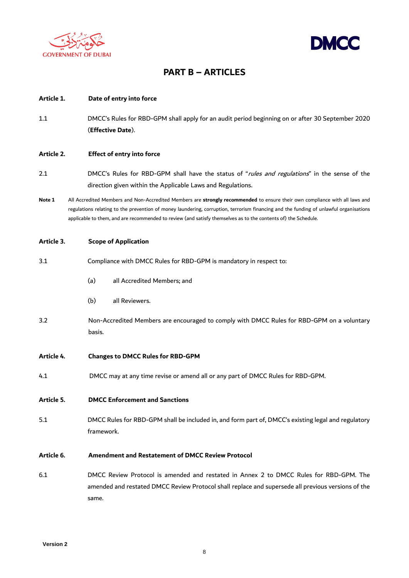



# **PART B – ARTICLES**

# **Article 1. Date of entry into force**

1.1 DMCC's Rules for RBD-GPM shall apply for an audit period beginning on or after 30 September 2020 (**Effective Date**).

# **Article 2. Effect of entry into force**

- 2.1 DMCC's Rules for RBD-GPM shall have the status of "rules and regulations" in the sense of the direction given within the Applicable Laws and Regulations.
- **Note 1** All Accredited Members and Non-Accredited Members are **strongly recommended** to ensure their own compliance with all laws and regulations relating to the prevention of money laundering, corruption, terrorism financing and the funding of unlawful organisations applicable to them, and are recommended to review (and satisfy themselves as to the contents of) the Schedule.

# **Article 3. Scope of Application**

| 3.1        | Compliance with DMCC Rules for RBD-GPM is mandatory in respect to:                                                |  |  |
|------------|-------------------------------------------------------------------------------------------------------------------|--|--|
|            | (a)<br>all Accredited Members; and                                                                                |  |  |
|            | (b)<br>all Reviewers.                                                                                             |  |  |
| 3.2        | Non-Accredited Members are encouraged to comply with DMCC Rules for RBD-GPM on a voluntary<br>basis.              |  |  |
| Article 4. | <b>Changes to DMCC Rules for RBD-GPM</b>                                                                          |  |  |
| 4.1        | DMCC may at any time revise or amend all or any part of DMCC Rules for RBD-GPM.                                   |  |  |
| Article 5. | <b>DMCC Enforcement and Sanctions</b>                                                                             |  |  |
| 5.1        | DMCC Rules for RBD-GPM shall be included in, and form part of, DMCC's existing legal and regulatory<br>framework. |  |  |
| Article 6. | <b>Amendment and Restatement of DMCC Review Protocol</b>                                                          |  |  |
| 6.1        | DMCC Review Protocol is amended and restated in Annex 2 to DMCC Rules for RBD-GPM. The                            |  |  |

amended and restated DMCC Review Protocol shall replace and supersede all previous versions of the same.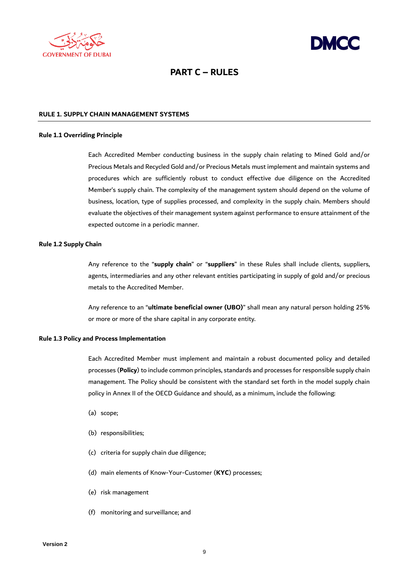



# **PART C – RULES**

### **RULE 1. SUPPLY CHAIN MANAGEMENT SYSTEMS**

# **Rule 1.1 Overriding Principle**

Each Accredited Member conducting business in the supply chain relating to Mined Gold and/or Precious Metals and Recycled Gold and/or Precious Metals must implement and maintain systems and procedures which are sufficiently robust to conduct effective due diligence on the Accredited Member's supply chain. The complexity of the management system should depend on the volume of business, location, type of supplies processed, and complexity in the supply chain. Members should evaluate the objectives of their management system against performance to ensure attainment of the expected outcome in a periodic manner.

# **Rule 1.2 Supply Chain**

Any reference to the "**supply chain**" or "**suppliers**" in these Rules shall include clients, suppliers, agents, intermediaries and any other relevant entities participating in supply of gold and/or precious metals to the Accredited Member.

Any reference to an "**ultimate beneficial owner (UBO)**" shall mean any natural person holding 25% or more or more of the share capital in any corporate entity.

# **Rule 1.3 Policy and Process Implementation**

Each Accredited Member must implement and maintain a robust documented policy and detailed processes (**Policy**) to include common principles, standards and processes for responsible supply chain management. The Policy should be consistent with the standard set forth in the model supply chain policy in Annex II of the OECD Guidance and should, as a minimum, include the following:

- (a) scope;
- (b) responsibilities;
- (c) criteria for supply chain due diligence;
- (d) main elements of Know-Your-Customer (**KYC**) processes;
- (e) risk management
- (f) monitoring and surveillance; and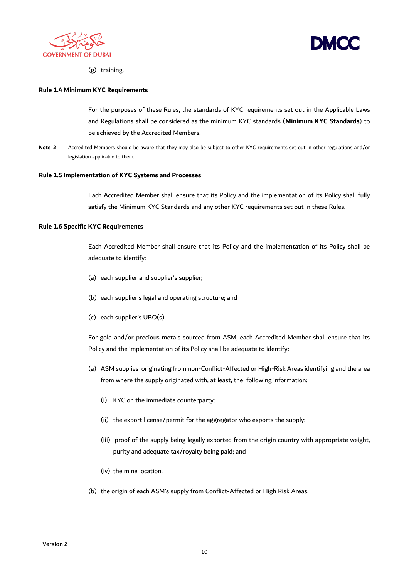



(g) training.

# **Rule 1.4 Minimum KYC Requirements**

For the purposes of these Rules, the standards of KYC requirements set out in the Applicable Laws and Regulations shall be considered as the minimum KYC standards (**Minimum KYC Standards**) to be achieved by the Accredited Members.

**Note 2** Accredited Members should be aware that they may also be subject to other KYC requirements set out in other regulations and/or legislation applicable to them.

#### **Rule 1.5 Implementation of KYC Systems and Processes**

Each Accredited Member shall ensure that its Policy and the implementation of its Policy shall fully satisfy the Minimum KYC Standards and any other KYC requirements set out in these Rules.

#### **Rule 1.6 Specific KYC Requirements**

Each Accredited Member shall ensure that its Policy and the implementation of its Policy shall be adequate to identify:

- (a) each supplier and supplier's supplier;
- (b) each supplier's legal and operating structure; and
- (c) each supplier's UBO(s).

For gold and/or precious metals sourced from ASM, each Accredited Member shall ensure that its Policy and the implementation of its Policy shall be adequate to identify:

- (a) ASM supplies originating from non-Conflict-Affected or High-Risk Areas identifying and the area from where the supply originated with, at least, the following information:
	- (i) KYC on the immediate counterparty:
	- (ii) the export license/permit for the aggregator who exports the supply:
	- (iii) proof of the supply being legally exported from the origin country with appropriate weight, purity and adequate tax/royalty being paid; and
	- (iv) the mine location.
- (b) the origin of each ASM's supply from Conflict-Affected or High Risk Areas;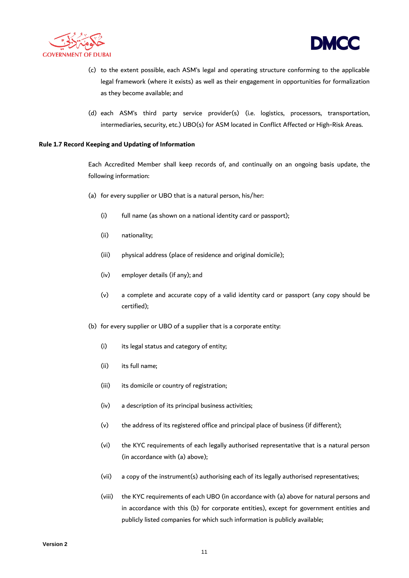



- (c) to the extent possible, each ASM's legal and operating structure conforming to the applicable legal framework (where it exists) as well as their engagement in opportunities for formalization as they become available; and
- (d) each ASM's third party service provider(s) (i.e. logistics, processors, transportation, intermediaries, security, etc.) UBO(s) for ASM located in Conflict Affected or High-Risk Areas.

# <span id="page-10-0"></span>**Rule 1.7 Record Keeping and Updating of Information**

Each Accredited Member shall keep records of, and continually on an ongoing basis update, the following information:

- (a) for every supplier or UBO that is a natural person, his/her:
	- (i) full name (as shown on a national identity card or passport);
	- (ii) nationality;
	- (iii) physical address (place of residence and original domicile);
	- (iv) employer details (if any); and
	- (v) a complete and accurate copy of a valid identity card or passport (any copy should be certified);
- (b) for every supplier or UBO of a supplier that is a corporate entity:
	- (i) its legal status and category of entity;
	- (ii) its full name;
	- (iii) its domicile or country of registration;
	- (iv) a description of its principal business activities;
	- (v) the address of its registered office and principal place of business (if different);
	- (vi) the KYC requirements of each legally authorised representative that is a natural person (in accordance wit[h \(a\)](#page-10-0) above);
	- (vii) a copy of the instrument(s) authorising each of its legally authorised representatives;
	- (viii) the KYC requirements of each UBO (in accordance with (a) above for natural persons and in accordance with this (b) for corporate entities), except for government entities and publicly listed companies for which such information is publicly available;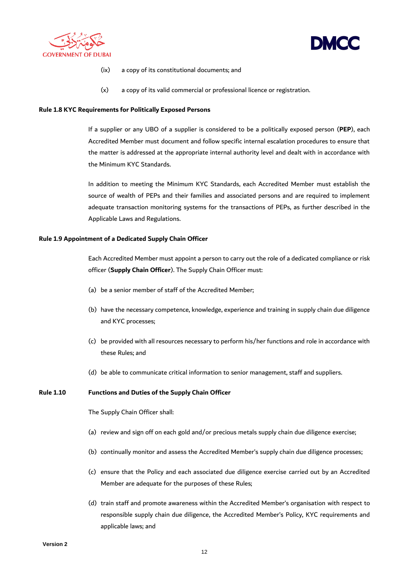



- (ix) a copy of its constitutional documents; and
- (x) a copy of its valid commercial or professional licence or registration.

#### <span id="page-11-0"></span>**Rule 1.8 KYC Requirements for Politically Exposed Persons**

If a supplier or any UBO of a supplier is considered to be a politically exposed person (**PEP**), each Accredited Member must document and follow specific internal escalation procedures to ensure that the matter is addressed at the appropriate internal authority level and dealt with in accordance with the Minimum KYC Standards.

In addition to meeting the Minimum KYC Standards, each Accredited Member must establish the source of wealth of PEPs and their families and associated persons and are required to implement adequate transaction monitoring systems for the transactions of PEPs, as further described in the Applicable Laws and Regulations.

# **Rule 1.9 Appointment of a Dedicated Supply Chain Officer**

Each Accredited Member must appoint a person to carry out the role of a dedicated compliance or risk officer (**Supply Chain Officer**). The Supply Chain Officer must:

- (a) be a senior member of staff of the Accredited Member;
- (b) have the necessary competence, knowledge, experience and training in supply chain due diligence and KYC processes;
- (c) be provided with all resources necessary to perform his/her functions and role in accordance with these Rules; and
- (d) be able to communicate critical information to senior management, staff and suppliers.

#### **Rule 1.10 Functions and Duties of the Supply Chain Officer**

The Supply Chain Officer shall:

- (a) review and sign off on each gold and/or precious metals supply chain due diligence exercise;
- (b) continually monitor and assess the Accredited Member's supply chain due diligence processes;
- (c) ensure that the Policy and each associated due diligence exercise carried out by an Accredited Member are adequate for the purposes of these Rules;
- (d) train staff and promote awareness within the Accredited Member's organisation with respect to responsible supply chain due diligence, the Accredited Member's Policy, KYC requirements and applicable laws; and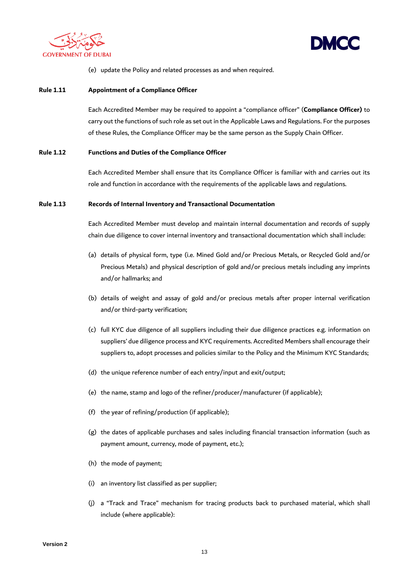



(e) update the Policy and related processes as and when required.

# **Rule 1.11 Appointment of a Compliance Officer**

Each Accredited Member may be required to appoint a "compliance officer" (**Compliance Officer)** to carry out the functions of such role as set out in the Applicable Laws and Regulations. For the purposes of these Rules, the Compliance Officer may be the same person as the Supply Chain Officer.

#### **Rule 1.12 Functions and Duties of the Compliance Officer**

Each Accredited Member shall ensure that its Compliance Officer is familiar with and carries out its role and function in accordance with the requirements of the applicable laws and regulations.

#### **Rule 1.13 Records of Internal Inventory and Transactional Documentation**

Each Accredited Member must develop and maintain internal documentation and records of supply chain due diligence to cover internal inventory and transactional documentation which shall include:

- (a) details of physical form, type (i.e. Mined Gold and/or Precious Metals, or Recycled Gold and/or Precious Metals) and physical description of gold and/or precious metals including any imprints and/or hallmarks; and
- (b) details of weight and assay of gold and/or precious metals after proper internal verification and/or third-party verification;
- (c) full KYC due diligence of all suppliers including their due diligence practices e.g. information on suppliers' due diligence process and KYC requirements. Accredited Members shall encourage their suppliers to, adopt processes and policies similar to the Policy and the Minimum KYC Standards;
- (d) the unique reference number of each entry/input and exit/output;
- (e) the name, stamp and logo of the refiner/producer/manufacturer (if applicable);
- (f) the year of refining/production (if applicable);
- (g) the dates of applicable purchases and sales including financial transaction information (such as payment amount, currency, mode of payment, etc.);
- (h) the mode of payment;
- (i) an inventory list classified as per supplier;
- (j) a "Track and Trace" mechanism for tracing products back to purchased material, which shall include (where applicable):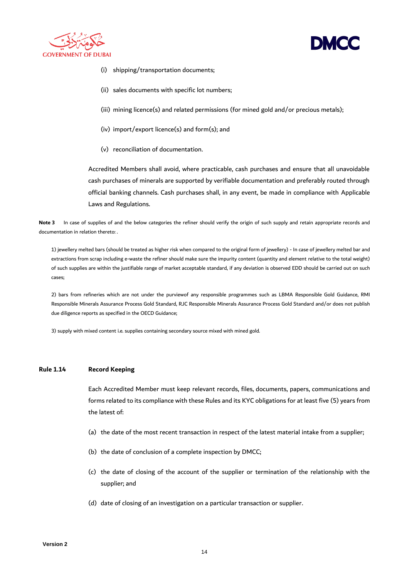



- (i) shipping/transportation documents;
- (ii) sales documents with specific lot numbers;
- (iii) mining licence(s) and related permissions (for mined gold and/or precious metals);
- (iv) import/export licence(s) and form(s); and
- (v) reconciliation of documentation.

Accredited Members shall avoid, where practicable, cash purchases and ensure that all unavoidable cash purchases of minerals are supported by verifiable documentation and preferably routed through official banking channels. Cash purchases shall, in any event, be made in compliance with Applicable Laws and Regulations.

Note 3 In case of supplies of and the below categories the refiner should verify the origin of such supply and retain appropriate records and documentation in relation thereto: .

1) jewellery melted bars (should be treated as higher risk when compared to the original form of jewellery) - In case of jewellery melted bar and extractions from scrap including e-waste the refiner should make sure the impurity content (quantity and element relative to the total weight) of such supplies are within the justifiable range of market acceptable standard, if any deviation is observed EDD should be carried out on such cases;

2) bars from refineries which are not under the purviewof any responsible programmes such as LBMA Responsible Gold Guidance, RMI Responsible Minerals Assurance Process Gold Standard, RJC Responsible Minerals Assurance Process Gold Standard and/or does not publish due diligence reports as specified in the OECD Guidance;

3) supply with mixed content i.e. supplies containing secondary source mixed with mined gold.

#### **Rule 1.14 Record Keeping**

Each Accredited Member must keep relevant records, files, documents, papers, communications and forms related to its compliance with these Rules and its KYC obligations for at least five (5) years from the latest of:

- (a) the date of the most recent transaction in respect of the latest material intake from a supplier;
- (b) the date of conclusion of a complete inspection by DMCC;
- (c) the date of closing of the account of the supplier or termination of the relationship with the supplier; and
- (d) date of closing of an investigation on a particular transaction or supplier.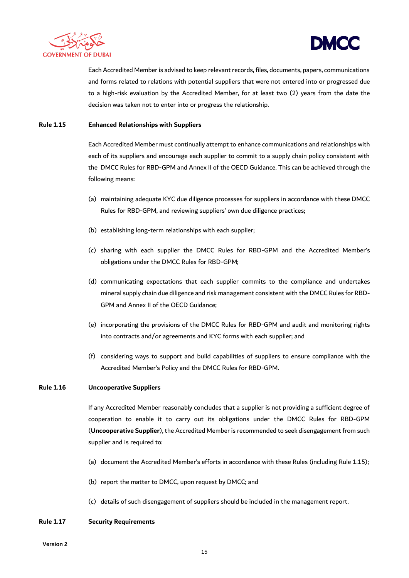



Each Accredited Member is advised to keep relevant records, files, documents, papers, communications and forms related to relations with potential suppliers that were not entered into or progressed due to a high-risk evaluation by the Accredited Member, for at least two (2) years from the date the decision was taken not to enter into or progress the relationship.

# **Rule 1.15 Enhanced Relationships with Suppliers**

Each Accredited Member must continually attempt to enhance communications and relationships with each of its suppliers and encourage each supplier to commit to a supply chain policy consistent with the DMCC Rules for RBD-GPM and Annex II of the OECD Guidance. This can be achieved through the following means:

- (a) maintaining adequate KYC due diligence processes for suppliers in accordance with these DMCC Rules for RBD-GPM, and reviewing suppliers' own due diligence practices;
- (b) establishing long-term relationships with each supplier;
- (c) sharing with each supplier the DMCC Rules for RBD-GPM and the Accredited Member's obligations under the DMCC Rules for RBD-GPM;
- (d) communicating expectations that each supplier commits to the compliance and undertakes mineral supply chain due diligence and risk management consistent with the DMCC Rules for RBD-GPM and Annex II of the OECD Guidance;
- (e) incorporating the provisions of the DMCC Rules for RBD-GPM and audit and monitoring rights into contracts and/or agreements and KYC forms with each supplier; and
- (f) considering ways to support and build capabilities of suppliers to ensure compliance with the Accredited Member's Policy and the DMCC Rules for RBD-GPM.

# **Rule 1.16 Uncooperative Suppliers**

If any Accredited Member reasonably concludes that a supplier is not providing a sufficient degree of cooperation to enable it to carry out its obligations under the DMCC Rules for RBD-GPM (**Uncooperative Supplier**), the Accredited Member is recommended to seek disengagement from such supplier and is required to:

- (a) document the Accredited Member's efforts in accordance with these Rules (including Rule 1.15);
- (b) report the matter to DMCC, upon request by DMCC; and
- (c) details of such disengagement of suppliers should be included in the management report.

# **Rule 1.17 Security Requirements**

**Version 2**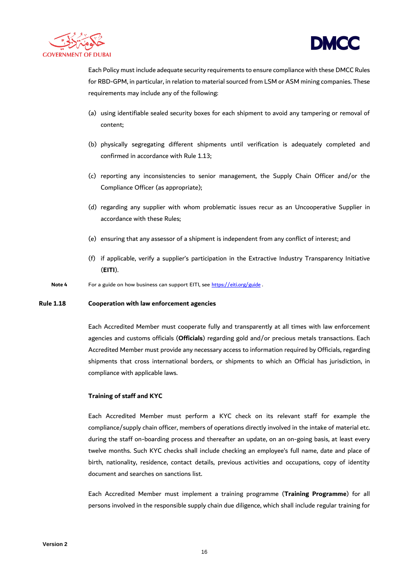



Each Policy must include adequate security requirements to ensure compliance with these DMCC Rules for RBD-GPM, in particular, in relation to material sourced from LSM or ASM mining companies. These requirements may include any of the following:

- (a) using identifiable sealed security boxes for each shipment to avoid any tampering or removal of content;
- (b) physically segregating different shipments until verification is adequately completed and confirmed in accordance with Rule 1.13;
- (c) reporting any inconsistencies to senior management, the Supply Chain Officer and/or the Compliance Officer (as appropriate);
- (d) regarding any supplier with whom problematic issues recur as an Uncooperative Supplier in accordance with these Rules;
- (e) ensuring that any assessor of a shipment is independent from any conflict of interest; and
- (f) if applicable, verify a supplier's participation in the Extractive Industry Transparency Initiative (**EITI**).
- **Note 4** For a guide on how business can support EITI, see <https://eiti.org/guide>.

# **Rule 1.18 Cooperation with law enforcement agencies**

Each Accredited Member must cooperate fully and transparently at all times with law enforcement agencies and customs officials (**Officials**) regarding gold and/or precious metals transactions. Each Accredited Member must provide any necessary access to information required by Officials, regarding shipments that cross international borders, or shipments to which an Official has jurisdiction, in compliance with applicable laws.

# **Training of staff and KYC**

Each Accredited Member must perform a KYC check on its relevant staff for example the compliance/supply chain officer, members of operations directly involved in the intake of material etc. during the staff on-boarding process and thereafter an update, on an on-going basis, at least every twelve months. Such KYC checks shall include checking an employee's full name, date and place of birth, nationality, residence, contact details, previous activities and occupations, copy of identity document and searches on sanctions list.

Each Accredited Member must implement a training programme (**Training Programme**) for all persons involved in the responsible supply chain due diligence, which shall include regular training for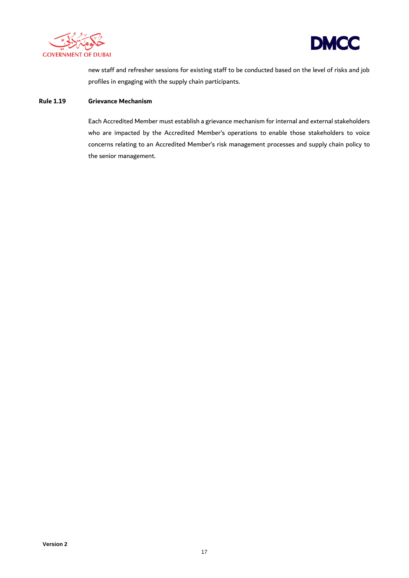



new staff and refresher sessions for existing staff to be conducted based on the level of risks and job profiles in engaging with the supply chain participants.

# **Rule 1.19 Grievance Mechanism**

Each Accredited Member must establish a grievance mechanism for internal and external stakeholders who are impacted by the Accredited Member's operations to enable those stakeholders to voice concerns relating to an Accredited Member's risk management processes and supply chain policy to the senior management.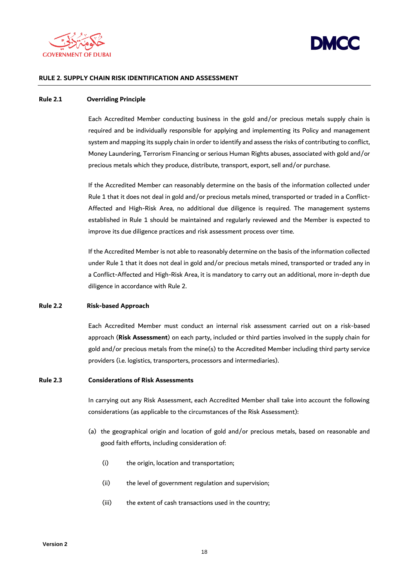



# **RULE 2. SUPPLY CHAIN RISK IDENTIFICATION AND ASSESSMENT**

# **Rule 2.1 Overriding Principle**

Each Accredited Member conducting business in the gold and/or precious metals supply chain is required and be individually responsible for applying and implementing its Policy and management system and mapping its supply chain in order to identify and assess the risks of contributing to conflict, Money Laundering, Terrorism Financing or serious Human Rights abuses, associated with gold and/or precious metals which they produce, distribute, transport, export, sell and/or purchase.

If the Accredited Member can reasonably determine on the basis of the information collected under Rule 1 that it does not deal in gold and/or precious metals mined, transported or traded in a Conflict-Affected and High-Risk Area, no additional due diligence is required. The management systems established in Rule 1 should be maintained and regularly reviewed and the Member is expected to improve its due diligence practices and risk assessment process over time.

If the Accredited Member is not able to reasonably determine on the basis of the information collected under Rule 1 that it does not deal in gold and/or precious metals mined, transported or traded any in a Conflict-Affected and High-Risk Area, it is mandatory to carry out an additional, more in-depth due diligence in accordance with Rule 2.

# **Rule 2.2 Risk-based Approach**

Each Accredited Member must conduct an internal risk assessment carried out on a risk-based approach (**Risk Assessment**) on each party, included or third parties involved in the supply chain for gold and/or precious metals from the mine(s) to the Accredited Member including third party service providers (i.e. logistics, transporters, processors and intermediaries).

#### **Rule 2.3 Considerations of Risk Assessments**

In carrying out any Risk Assessment, each Accredited Member shall take into account the following considerations (as applicable to the circumstances of the Risk Assessment):

- (a) the geographical origin and location of gold and/or precious metals, based on reasonable and good faith efforts, including consideration of:
	- (i) the origin, location and transportation;
	- (ii) the level of government regulation and supervision;
	- (iii) the extent of cash transactions used in the country;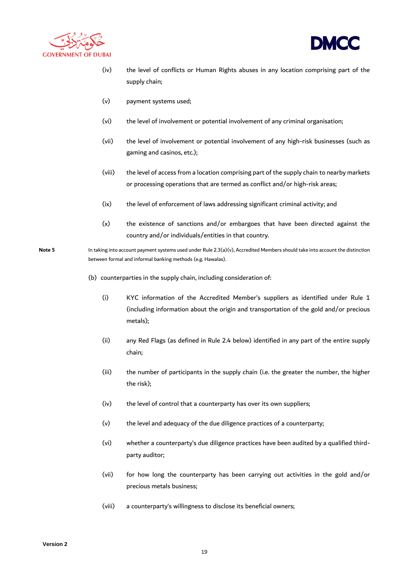



- (iv) the level of conflicts or Human Rights abuses in any location comprising part of the supply chain;
- (v) payment systems used;
- (vi) the level of involvement or potential involvement of any criminal organisation;
- (vii) the level of involvement or potential involvement of any high-risk businesses (such as gaming and casinos, etc.);
- (viii) the level of access from a location comprising part of the supply chain to nearby markets or processing operations that are termed as conflict and/or high-risk areas;
- (ix) the level of enforcement of laws addressing significant criminal activity; and
- (x) the existence of sanctions and/or embargoes that have been directed against the country and/or individuals/entities in that country.
- **Note 5** In taking into account payment systems used under Rule 2.3(a)(v), Accredited Members should take into account the distinction between formal and informal banking methods (e.g. Hawalas).
	- (b) counterparties in the supply chain, including consideration of:
		- (i) KYC information of the Accredited Member's suppliers as identified under Rule 1 (including information about the origin and transportation of the gold and/or precious metals);
		- (ii) any Red Flags (as defined in Rule 2.4 below) identified in any part of the entire supply chain;
		- (iii) the number of participants in the supply chain (i.e. the greater the number, the higher the risk);
		- (iv) the level of control that a counterparty has over its own suppliers;
		- (v) the level and adequacy of the due diligence practices of a counterparty;
		- (vi) whether a counterparty's due diligence practices have been audited by a qualified thirdparty auditor;
		- (vii) for how long the counterparty has been carrying out activities in the gold and/or precious metals business;
		- (viii) a counterparty's willingness to disclose its beneficial owners;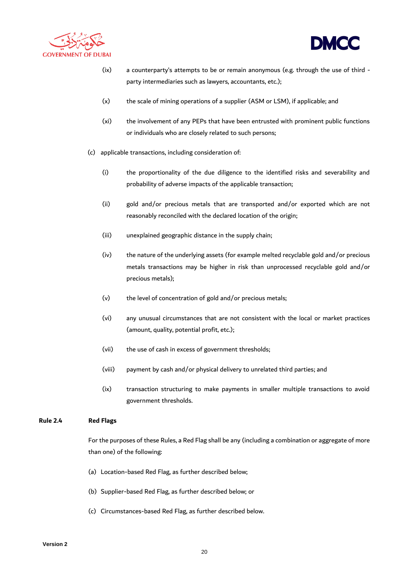



- (ix) a counterparty's attempts to be or remain anonymous (e.g. through the use of third party intermediaries such as lawyers, accountants, etc.);
- (x) the scale of mining operations of a supplier (ASM or LSM), if applicable; and
- (xi) the involvement of any PEPs that have been entrusted with prominent public functions or individuals who are closely related to such persons;
- (c) applicable transactions, including consideration of:
	- (i) the proportionality of the due diligence to the identified risks and severability and probability of adverse impacts of the applicable transaction;
	- (ii) gold and/or precious metals that are transported and/or exported which are not reasonably reconciled with the declared location of the origin;
	- (iii) unexplained geographic distance in the supply chain;
	- (iv) the nature of the underlying assets (for example melted recyclable gold and/or precious metals transactions may be higher in risk than unprocessed recyclable gold and/or precious metals);
	- (v) the level of concentration of gold and/or precious metals;
	- (vi) any unusual circumstances that are not consistent with the local or market practices (amount, quality, potential profit, etc.);
	- (vii) the use of cash in excess of government thresholds;
	- (viii) payment by cash and/or physical delivery to unrelated third parties; and
	- (ix) transaction structuring to make payments in smaller multiple transactions to avoid government thresholds.

# **Rule 2.4 Red Flags**

For the purposes of these Rules, a Red Flag shall be any (including a combination or aggregate of more than one) of the following:

- (a) Location-based Red Flag, as further described below;
- (b) Supplier-based Red Flag, as further described below; or
- (c) Circumstances-based Red Flag, as further described below.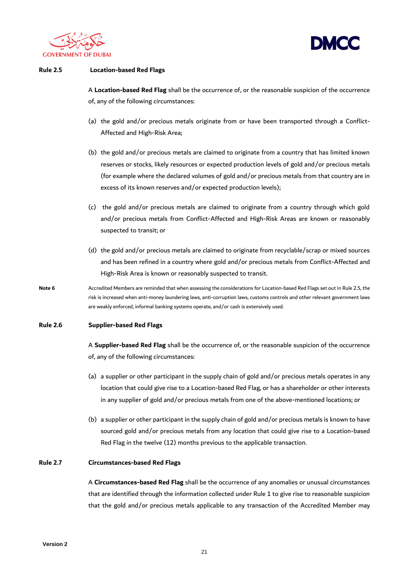



#### **Rule 2.5 Location-based Red Flags**

A **Location-based Red Flag** shall be the occurrence of, or the reasonable suspicion of the occurrence of, any of the following circumstances:

- (a) the gold and/or precious metals originate from or have been transported through a Conflict-Affected and High-Risk Area;
- (b) the gold and/or precious metals are claimed to originate from a country that has limited known reserves or stocks, likely resources or expected production levels of gold and/or precious metals (for example where the declared volumes of gold and/or precious metals from that country are in excess of its known reserves and/or expected production levels);
- (c) the gold and/or precious metals are claimed to originate from a country through which gold and/or precious metals from Conflict-Affected and High-Risk Areas are known or reasonably suspected to transit; or
- (d) the gold and/or precious metals are claimed to originate from recyclable/scrap or mixed sources and has been refined in a country where gold and/or precious metals from Conflict-Affected and High-Risk Area is known or reasonably suspected to transit.
- Note 6 **Accredited Members are reminded that when assessing the considerations for Location-based Red Flags set out in Rule 2.5, the** risk is increased when anti-money laundering laws, anti-corruption laws, customs controls and other relevant government laws are weakly enforced, informal banking systems operate, and/or cash is extensively used.

#### **Rule 2.6 Supplier-based Red Flags**

A **Supplier-based Red Flag** shall be the occurrence of, or the reasonable suspicion of the occurrence of, any of the following circumstances:

- (a) a supplier or other participant in the supply chain of gold and/or precious metals operates in any location that could give rise to a Location-based Red Flag, or has a shareholder or other interests in any supplier of gold and/or precious metals from one of the above-mentioned locations; or
- (b) a supplier or other participant in the supply chain of gold and/or precious metals is known to have sourced gold and/or precious metals from any location that could give rise to a Location-based Red Flag in the twelve (12) months previous to the applicable transaction.

# **Rule 2.7 Circumstances-based Red Flags**

A **Circumstances-based Red Flag** shall be the occurrence of any anomalies or unusual circumstances that are identified through the information collected under Rule 1 to give rise to reasonable suspicion that the gold and/or precious metals applicable to any transaction of the Accredited Member may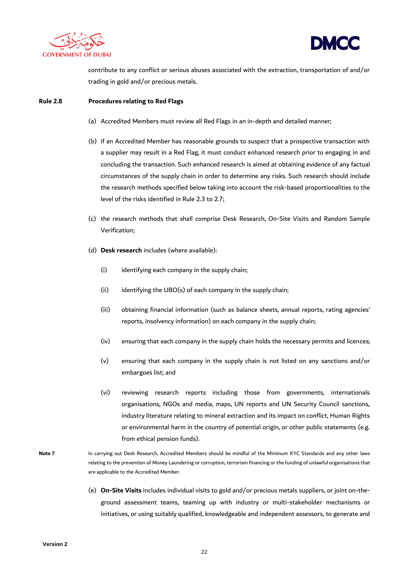



contribute to any conflict or serious abuses associated with the extraction, transportation of and/or trading in gold and/or precious metals.

# **Rule 2.8 Procedures relating to Red Flags**

- (a) Accredited Members must review all Red Flags in an in-depth and detailed manner;
- (b) if an Accredited Member has reasonable grounds to suspect that a prospective transaction with a supplier may result in a Red Flag, it must conduct enhanced research prior to engaging in and concluding the transaction. Such enhanced research is aimed at obtaining evidence of any factual circumstances of the supply chain in order to determine any risks. Such research should include the research methods specified below taking into account the risk-based proportionalities to the level of the risks identified in Rule 2.3 to 2.7;
- (c) the research methods that shall comprise Desk Research, On-Site Visits and Random Sample Verification;
- (d) **Desk research** includes (where available):
	- (i) identifying each company in the supply chain;
	- (ii) identifying the UBO(s) of each company in the supply chain;
	- (iii) obtaining financial information (such as balance sheets, annual reports, rating agencies' reports, insolvency information) on each company in the supply chain;
	- (iv) ensuring that each company in the supply chain holds the necessary permits and licences;
	- (v) ensuring that each company in the supply chain is not listed on any sanctions and/or embargoes list; and
	- (vi) reviewing research reports including those from governments, internationals organisations, NGOs and media, maps, UN reports and UN Security Council sanctions, industry literature relating to mineral extraction and its impact on conflict, Human Rights or environmental harm in the country of potential origin, or other public statements (e.g. from ethical pension funds).
- **Note 7** In carrying out Desk Research, Accredited Members should be mindful of the Minimum KYC Standards and any other laws relating to the prevention of Money Laundering or corruption, terrorism financing or the funding of unlawful organisations that are applicable to the Accredited Member.
	- (e) **On-Site Visits** includes individual visits to gold and/or precious metals suppliers, or joint on-theground assessment teams, teaming up with industry or multi-stakeholder mechanisms or initiatives, or using suitably qualified, knowledgeable and independent assessors, to generate and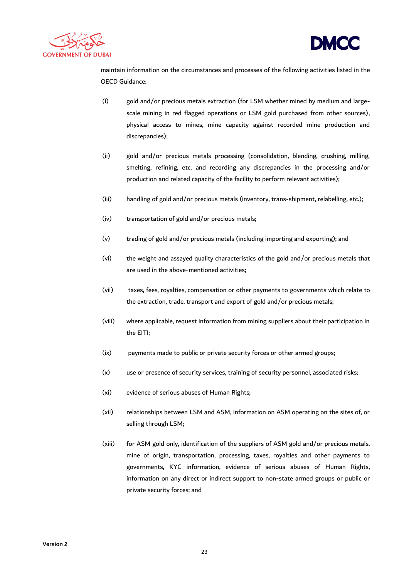



maintain information on the circumstances and processes of the following activities listed in the OECD Guidance:

- (i) gold and/or precious metals extraction (for LSM whether mined by medium and largescale mining in red flagged operations or LSM gold purchased from other sources), physical access to mines, mine capacity against recorded mine production and discrepancies);
- (ii) gold and/or precious metals processing (consolidation, blending, crushing, milling, smelting, refining, etc. and recording any discrepancies in the processing and/or production and related capacity of the facility to perform relevant activities);
- (iii) handling of gold and/or precious metals (inventory, trans-shipment, relabelling, etc.);
- (iv) transportation of gold and/or precious metals;
- (v) trading of gold and/or precious metals (including importing and exporting); and
- (vi) the weight and assayed quality characteristics of the gold and/or precious metals that are used in the above-mentioned activities;
- (vii) taxes, fees, royalties, compensation or other payments to governments which relate to the extraction, trade, transport and export of gold and/or precious metals;
- (viii) where applicable, request information from mining suppliers about their participation in the EITI;
- (ix) payments made to public or private security forces or other armed groups;
- (x) use or presence of security services, training of security personnel, associated risks;
- (xi) evidence of serious abuses of Human Rights;
- (xii) relationships between LSM and ASM, information on ASM operating on the sites of, or selling through LSM;
- (xiii) for ASM gold only, identification of the suppliers of ASM gold and/or precious metals, mine of origin, transportation, processing, taxes, royalties and other payments to governments, KYC information, evidence of serious abuses of Human Rights, information on any direct or indirect support to non-state armed groups or public or private security forces; and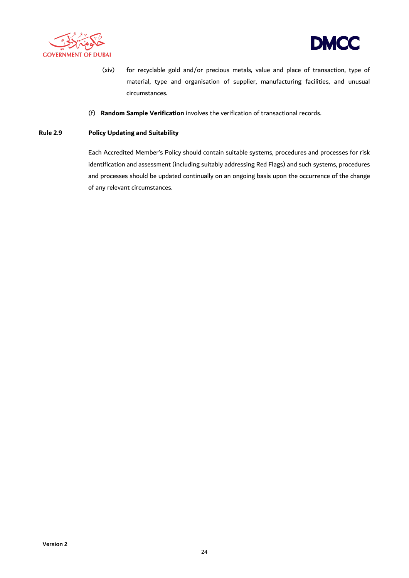



- (xiv) for recyclable gold and/or precious metals, value and place of transaction, type of material, type and organisation of supplier, manufacturing facilities, and unusual circumstances.
- (f) **Random Sample Verification** involves the verification of transactional records.

# **Rule 2.9 Policy Updating and Suitability**

Each Accredited Member's Policy should contain suitable systems, procedures and processes for risk identification and assessment (including suitably addressing Red Flags) and such systems, procedures and processes should be updated continually on an ongoing basis upon the occurrence of the change of any relevant circumstances.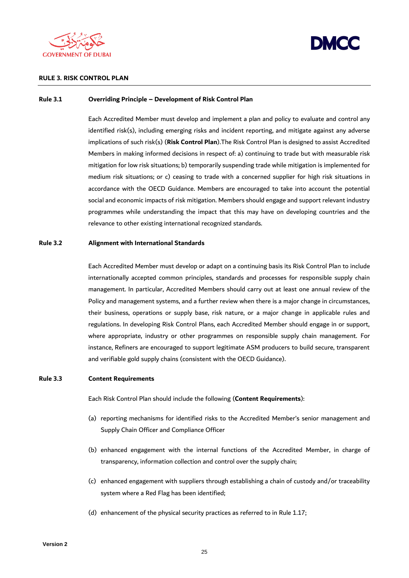



# **RULE 3. RISK CONTROL PLAN**

#### **Rule 3.1 Overriding Principle – Development of Risk Control Plan**

Each Accredited Member must develop and implement a plan and policy to evaluate and control any identified risk(s), including emerging risks and incident reporting, and mitigate against any adverse implications of such risk(s) (**Risk Control Plan**).The Risk Control Plan is designed to assist Accredited Members in making informed decisions in respect of: a) continuing to trade but with measurable risk mitigation for low risk situations; b) temporarily suspending trade while mitigation is implemented for medium risk situations; or c) ceasing to trade with a concerned supplier for high risk situations in accordance with the OECD Guidance. Members are encouraged to take into account the potential social and economic impacts of risk mitigation. Members should engage and support relevant industry programmes while understanding the impact that this may have on developing countries and the relevance to other existing international recognized standards.

# **Rule 3.2 Alignment with International Standards**

Each Accredited Member must develop or adapt on a continuing basis its Risk Control Plan to include internationally accepted common principles, standards and processes for responsible supply chain management. In particular, Accredited Members should carry out at least one annual review of the Policy and management systems, and a further review when there is a major change in circumstances, their business, operations or supply base, risk nature, or a major change in applicable rules and regulations. In developing Risk Control Plans, each Accredited Member should engage in or support, where appropriate, industry or other programmes on responsible supply chain management. For instance, Refiners are encouraged to support legitimate ASM producers to build secure, transparent and verifiable gold supply chains (consistent with the OECD Guidance).

# **Rule 3.3 Content Requirements**

Each Risk Control Plan should include the following (**Content Requirements**):

- (a) reporting mechanisms for identified risks to the Accredited Member's senior management and Supply Chain Officer and Compliance Officer
- (b) enhanced engagement with the internal functions of the Accredited Member, in charge of transparency, information collection and control over the supply chain;
- (c) enhanced engagement with suppliers through establishing a chain of custody and/or traceability system where a Red Flag has been identified;
- (d) enhancement of the physical security practices as referred to in Rule 1.17;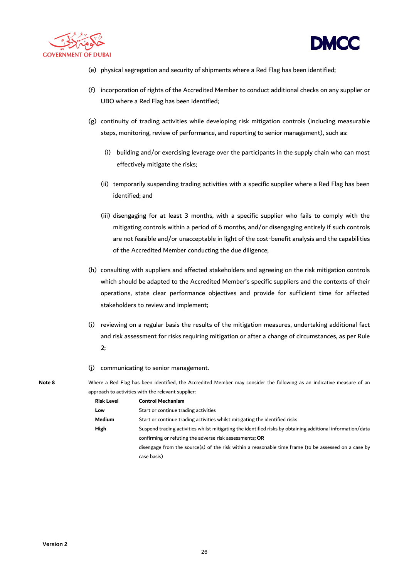



- (e) physical segregation and security of shipments where a Red Flag has been identified;
- (f) incorporation of rights of the Accredited Member to conduct additional checks on any supplier or UBO where a Red Flag has been identified;
- (g) continuity of trading activities while developing risk mitigation controls (including measurable steps, monitoring, review of performance, and reporting to senior management), such as:
	- (i) building and/or exercising leverage over the participants in the supply chain who can most effectively mitigate the risks;
	- (ii) temporarily suspending trading activities with a specific supplier where a Red Flag has been identified; and
	- (iii) disengaging for at least 3 months, with a specific supplier who fails to comply with the mitigating controls within a period of 6 months, and/or disengaging entirely if such controls are not feasible and/or unacceptable in light of the cost-benefit analysis and the capabilities of the Accredited Member conducting the due diligence;
- (h) consulting with suppliers and affected stakeholders and agreeing on the risk mitigation controls which should be adapted to the Accredited Member's specific suppliers and the contexts of their operations, state clear performance objectives and provide for sufficient time for affected stakeholders to review and implement;
- (i) reviewing on a regular basis the results of the mitigation measures, undertaking additional fact and risk assessment for risks requiring mitigation or after a change of circumstances, as per Rule 2;
- (j) communicating to senior management.

Note 8 Where a Red Flag has been identified, the Accredited Member may consider the following as an indicative measure of an approach to activities with the relevant supplier:

| <b>Risk Level</b> | <b>Control Mechanism</b>                                                                                   |
|-------------------|------------------------------------------------------------------------------------------------------------|
| Low               | Start or continue trading activities                                                                       |
| Medium            | Start or continue trading activities whilst mitigating the identified risks                                |
| <b>High</b>       | Suspend trading activities whilst mitigating the identified risks by obtaining additional information/data |
|                   | confirming or refuting the adverse risk assessments; OR                                                    |
|                   | disengage from the source(s) of the risk within a reasonable time frame (to be assessed on a case by       |
|                   | case basis)                                                                                                |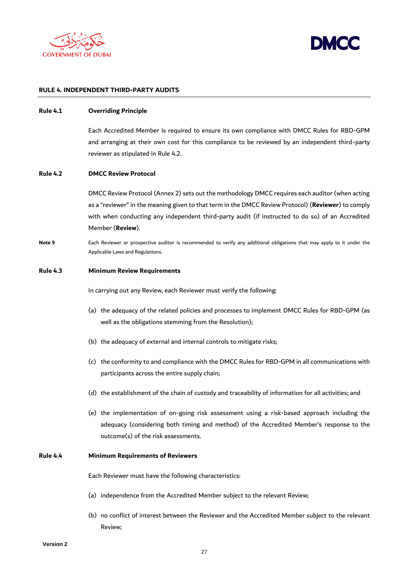



#### **RULE 4. INDEPENDENT THIRD-PARTY AUDITS**

# **Rule 4.1 Overriding Principle**

Each Accredited Member is required to ensure its own compliance with DMCC Rules for RBD-GPM and arranging at their own cost for this compliance to be reviewed by an independent third-party reviewer as stipulated in Rule 4.2.

# **Rule 4.2 DMCC Review Protocol**

DMCC Review Protocol (Annex 2) sets out the methodology DMCC requires each auditor (when acting as a "reviewer" in the meaning given to that term in the DMCC Review Protocol) (**Reviewer**) to comply with when conducting any independent third-party audit (if instructed to do so) of an Accredited Member (**Review**).

**Note 9** Each Reviewer or prospective auditor is recommended to verify any additional obligations that may apply to it under the Applicable Laws and Regulations.

# **Rule 4.3 Minimum Review Requirements**

In carrying out any Review, each Reviewer must verify the following:

- (a) the adequacy of the related policies and processes to implement DMCC Rules for RBD-GPM (as well as the obligations stemming from the Resolution);
- (b) the adequacy of external and internal controls to mitigate risks;
- (c) the conformity to and compliance with the DMCC Rules for RBD-GPM in all communications with participants across the entire supply chain;
- (d) the establishment of the chain of custody and traceability of information for all activities; and
- (e) the implementation of on-going risk assessment using a risk-based approach including the adequacy (considering both timing and method) of the Accredited Member's response to the outcome(s) of the risk assessments.

# **Rule 4.4 Minimum Requirements of Reviewers**

Each Reviewer must have the following characteristics:

- (a) independence from the Accredited Member subject to the relevant Review;
- (b) no conflict of interest between the Reviewer and the Accredited Member subject to the relevant Review;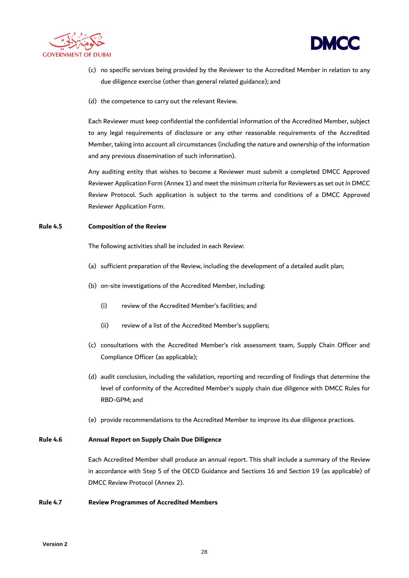



- (c) no specific services being provided by the Reviewer to the Accredited Member in relation to any due diligence exercise (other than general related guidance); and
- (d) the competence to carry out the relevant Review.

Each Reviewer must keep confidential the confidential information of the Accredited Member, subject to any legal requirements of disclosure or any other reasonable requirements of the Accredited Member, taking into account all circumstances (including the nature and ownership of the information and any previous dissemination of such information).

Any auditing entity that wishes to become a Reviewer must submit a completed DMCC Approved Reviewer Application Form (Annex 1) and meet the minimum criteria for Reviewers as set out in DMCC Review Protocol. Such application is subject to the terms and conditions of a DMCC Approved Reviewer Application Form.

# **Rule 4.5 Composition of the Review**

The following activities shall be included in each Review:

- (a) sufficient preparation of the Review, including the development of a detailed audit plan;
- (b) on-site investigations of the Accredited Member, including:
	- (i) review of the Accredited Member's facilities; and
	- (ii) review of a list of the Accredited Member's suppliers;
- (c) consultations with the Accredited Member's risk assessment team, Supply Chain Officer and Compliance Officer (as applicable);
- (d) audit conclusion, including the validation, reporting and recording of findings that determine the level of conformity of the Accredited Member's supply chain due diligence with DMCC Rules for RBD-GPM; and
- (e) provide recommendations to the Accredited Member to improve its due diligence practices.

# **Rule 4.6 Annual Report on Supply Chain Due Diligence**

Each Accredited Member shall produce an annual report. This shall include a summary of the Review in accordance with Step 5 of the OECD Guidance and Sections 16 and Section 19 (as applicable) of DMCC Review Protocol (Annex 2).

# **Rule 4.7 Review Programmes of Accredited Members**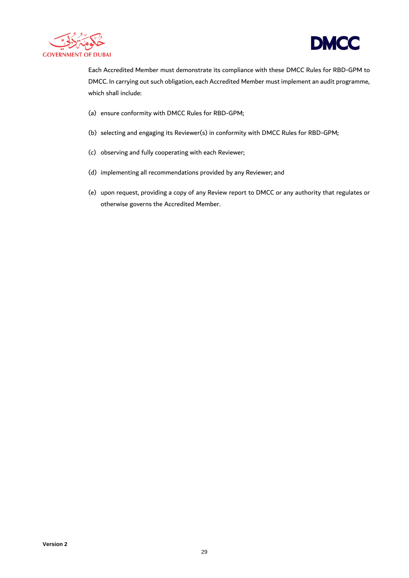



Each Accredited Member must demonstrate its compliance with these DMCC Rules for RBD-GPM to DMCC. In carrying out such obligation, each Accredited Member must implement an audit programme, which shall include:

- (a) ensure conformity with DMCC Rules for RBD-GPM;
- (b) selecting and engaging its Reviewer(s) in conformity with DMCC Rules for RBD-GPM;
- (c) observing and fully cooperating with each Reviewer;
- (d) implementing all recommendations provided by any Reviewer; and
- (e) upon request, providing a copy of any Review report to DMCC or any authority that regulates or otherwise governs the Accredited Member.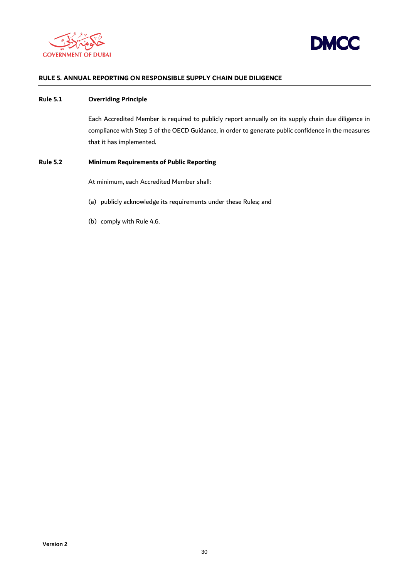



# **RULE 5. ANNUAL REPORTING ON RESPONSIBLE SUPPLY CHAIN DUE DILIGENCE**

# **Rule 5.1 Overriding Principle**

Each Accredited Member is required to publicly report annually on its supply chain due diligence in compliance with Step 5 of the OECD Guidance, in order to generate public confidence in the measures that it has implemented.

# **Rule 5.2 Minimum Requirements of Public Reporting**

At minimum, each Accredited Member shall:

- (a) publicly acknowledge its requirements under these Rules; and
- (b) comply with Rule 4.6.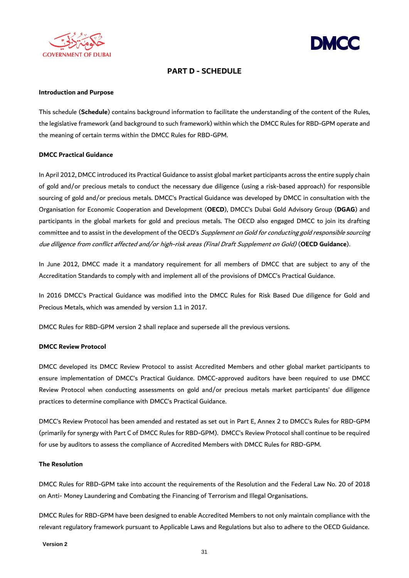



# **PART D - SCHEDULE**

#### **Introduction and Purpose**

This schedule (**Schedule**) contains background information to facilitate the understanding of the content of the Rules, the legislative framework (and background to such framework) within which the DMCC Rules for RBD-GPM operate and the meaning of certain terms within the DMCC Rules for RBD-GPM.

# **DMCC Practical Guidance**

In April 2012, DMCC introduced its Practical Guidance to assist global market participants across the entire supply chain of gold and/or precious metals to conduct the necessary due diligence (using a risk-based approach) for responsible sourcing of gold and/or precious metals. DMCC's Practical Guidance was developed by DMCC in consultation with the Organisation for Economic Cooperation and Development (**OECD**), DMCC's Dubai Gold Advisory Group (**DGAG**) and participants in the global markets for gold and precious metals. The OECD also engaged DMCC to join its drafting committee and to assist in the development of the OECD's Supplement on Gold for conducting gold responsible sourcing due diligence from conflict affected and/or high-risk areas (Final Draft Supplement on Gold) (**OECD Guidance**).

In June 2012, DMCC made it a mandatory requirement for all members of DMCC that are subject to any of the Accreditation Standards to comply with and implement all of the provisions of DMCC's Practical Guidance.

In 2016 DMCC's Practical Guidance was modified into the DMCC Rules for Risk Based Due diligence for Gold and Precious Metals, which was amended by version 1.1 in 2017.

DMCC Rules for RBD-GPM version 2 shall replace and supersede all the previous versions.

# **DMCC Review Protocol**

DMCC developed its DMCC Review Protocol to assist Accredited Members and other global market participants to ensure implementation of DMCC's Practical Guidance. DMCC-approved auditors have been required to use DMCC Review Protocol when conducting assessments on gold and/or precious metals market participants' due diligence practices to determine compliance with DMCC's Practical Guidance.

DMCC's Review Protocol has been amended and restated as set out in Part E, Annex 2 to DMCC's Rules for RBD-GPM (primarily for synergy with Part C of DMCC Rules for RBD-GPM). DMCC's Review Protocol shall continue to be required for use by auditors to assess the compliance of Accredited Members with DMCC Rules for RBD-GPM.

#### **The Resolution**

DMCC Rules for RBD-GPM take into account the requirements of the Resolution and the Federal Law No. 20 of 2018 on Anti- Money Laundering and Combating the Financing of Terrorism and Illegal Organisations.

DMCC Rules for RBD-GPM have been designed to enable Accredited Members to not only maintain compliance with the relevant regulatory framework pursuant to Applicable Laws and Regulations but also to adhere to the OECD Guidance.

**Version 2**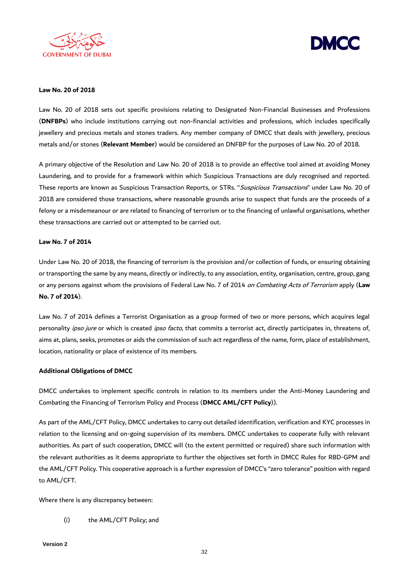



# **Law No. 20 of 2018**

Law No. 20 of 2018 sets out specific provisions relating to Designated Non-Financial Businesses and Professions (**DNFBPs**) who include institutions carrying out non-financial activities and professions, which includes specifically jewellery and precious metals and stones traders. Any member company of DMCC that deals with jewellery, precious metals and/or stones (**Relevant Member**) would be considered an DNFBP for the purposes of Law No. 20 of 2018.

A primary objective of the Resolution and Law No. 20 of 2018 is to provide an effective tool aimed at avoiding Money Laundering, and to provide for a framework within which Suspicious Transactions are duly recognised and reported. These reports are known as Suspicious Transaction Reports, or STRs. "Suspicious Transactions" under Law No. 20 of 2018 are considered those transactions, where reasonable grounds arise to suspect that funds are the proceeds of a felony or a misdemeanour or are related to financing of terrorism or to the financing of unlawful organisations, whether these transactions are carried out or attempted to be carried out.

# **Law No. 7 of 2014**

Under Law No. 20 of 2018, the financing of terrorism is the provision and/or collection of funds, or ensuring obtaining or transporting the same by any means, directly or indirectly, to any association, entity, organisation, centre, group, gang or any persons against whom the provisions of Federal Law No. 7 of 2014 on Combating Acts of Terrorism apply (**Law No. 7 of 2014**).

Law No. 7 of 2014 defines a Terrorist Organisation as a group formed of two or more persons, which acquires legal personality ipso jure or which is created ipso facto, that commits a terrorist act, directly participates in, threatens of, aims at, plans, seeks, promotes or aids the commission of such act regardless of the name, form, place of establishment, location, nationality or place of existence of its members.

# **Additional Obligations of DMCC**

DMCC undertakes to implement specific controls in relation to its members under the Anti-Money Laundering and Combating the Financing of Terrorism Policy and Process (**DMCC AML/CFT Policy**)).

As part of the AML/CFT Policy, DMCC undertakes to carry out detailed identification, verification and KYC processes in relation to the licensing and on-going supervision of its members. DMCC undertakes to cooperate fully with relevant authorities. As part of such cooperation, DMCC will (to the extent permitted or required) share such information with the relevant authorities as it deems appropriate to further the objectives set forth in DMCC Rules for RBD-GPM and the AML/CFT Policy. This cooperative approach is a further expression of DMCC's "zero tolerance" position with regard to AML/CFT.

Where there is any discrepancy between:

(i) the AML/CFT Policy; and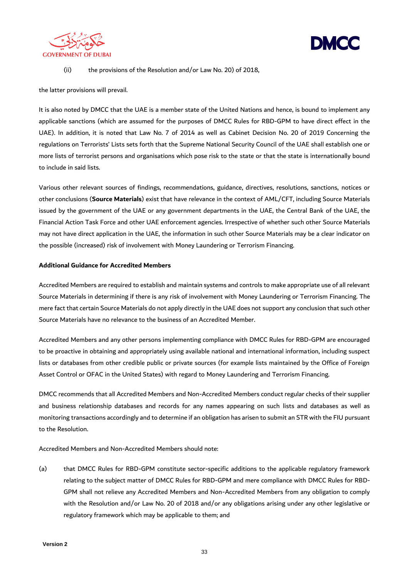



# (ii) the provisions of the Resolution and/or Law No. 20) of 2018,

the latter provisions will prevail.

It is also noted by DMCC that the UAE is a member state of the United Nations and hence, is bound to implement any applicable sanctions (which are assumed for the purposes of DMCC Rules for RBD-GPM to have direct effect in the UAE). In addition, it is noted that Law No. 7 of 2014 as well as Cabinet Decision No. 20 of 2019 Concerning the regulations on Terrorists' Lists sets forth that the Supreme National Security Council of the UAE shall establish one or more lists of terrorist persons and organisations which pose risk to the state or that the state is internationally bound to include in said lists.

Various other relevant sources of findings, recommendations, guidance, directives, resolutions, sanctions, notices or other conclusions (**Source Materials**) exist that have relevance in the context of AML/CFT, including Source Materials issued by the government of the UAE or any government departments in the UAE, the Central Bank of the UAE, the Financial Action Task Force and other UAE enforcement agencies. Irrespective of whether such other Source Materials may not have direct application in the UAE, the information in such other Source Materials may be a clear indicator on the possible (increased) risk of involvement with Money Laundering or Terrorism Financing.

# **Additional Guidance for Accredited Members**

Accredited Members are required to establish and maintain systems and controls to make appropriate use of all relevant Source Materials in determining if there is any risk of involvement with Money Laundering or Terrorism Financing. The mere fact that certain Source Materials do not apply directly in the UAE does not support any conclusion that such other Source Materials have no relevance to the business of an Accredited Member.

Accredited Members and any other persons implementing compliance with DMCC Rules for RBD-GPM are encouraged to be proactive in obtaining and appropriately using available national and international information, including suspect lists or databases from other credible public or private sources (for example lists maintained by the Office of Foreign Asset Control or OFAC in the United States) with regard to Money Laundering and Terrorism Financing.

DMCC recommends that all Accredited Members and Non-Accredited Members conduct regular checks of their supplier and business relationship databases and records for any names appearing on such lists and databases as well as monitoring transactions accordingly and to determine if an obligation has arisen to submit an STR with the FIU pursuant to the Resolution.

Accredited Members and Non-Accredited Members should note:

(a) that DMCC Rules for RBD-GPM constitute sector-specific additions to the applicable regulatory framework relating to the subject matter of DMCC Rules for RBD-GPM and mere compliance with DMCC Rules for RBD-GPM shall not relieve any Accredited Members and Non-Accredited Members from any obligation to comply with the Resolution and/or Law No. 20 of 2018 and/or any obligations arising under any other legislative or regulatory framework which may be applicable to them; and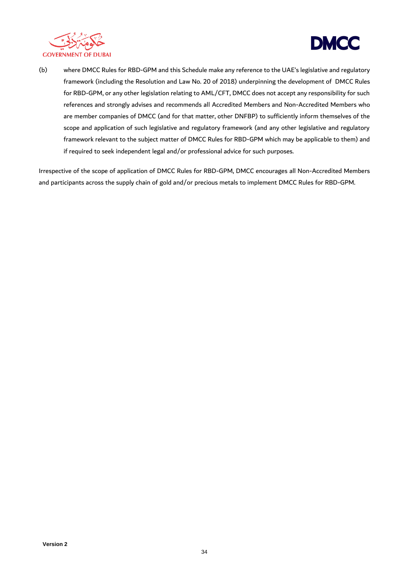



(b) where DMCC Rules for RBD-GPM and this Schedule make any reference to the UAE's legislative and regulatory framework (including the Resolution and Law No. 20 of 2018) underpinning the development of DMCC Rules for RBD-GPM, or any other legislation relating to AML/CFT, DMCC does not accept any responsibility for such references and strongly advises and recommends all Accredited Members and Non-Accredited Members who are member companies of DMCC (and for that matter, other DNFBP) to sufficiently inform themselves of the scope and application of such legislative and regulatory framework (and any other legislative and regulatory framework relevant to the subject matter of DMCC Rules for RBD-GPM which may be applicable to them) and if required to seek independent legal and/or professional advice for such purposes.

Irrespective of the scope of application of DMCC Rules for RBD-GPM, DMCC encourages all Non-Accredited Members and participants across the supply chain of gold and/or precious metals to implement DMCC Rules for RBD-GPM.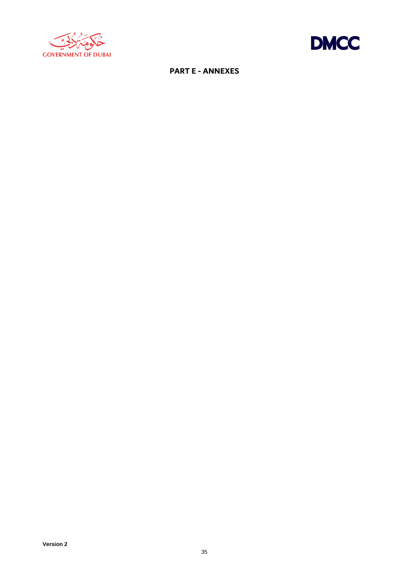



# **PART E - ANNEXES**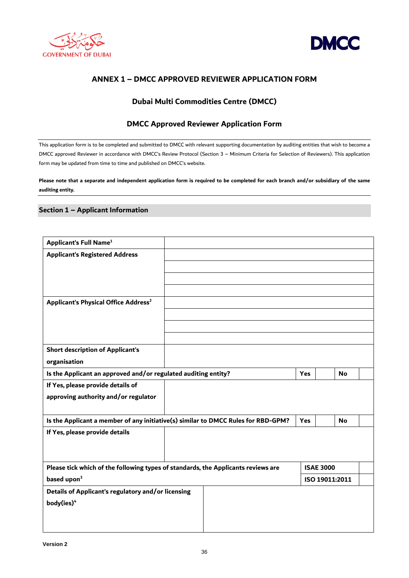



# **ANNEX 1 – DMCC APPROVED REVIEWER APPLICATION FORM**

# **Dubai Multi Commodities Centre (DMCC)**

# **DMCC Approved Reviewer Application Form**

This application form is to be completed and submitted to DMCC with relevant supporting documentation by auditing entities that wish to become a DMCC approved Reviewer in accordance with DMCC's Review Protocol (Section 3 – Minimum Criteria for Selection of Reviewers). This application form may be updated from time to time and published on DMCC's website.

**Please note that a separate and independent application form is required to be completed for each branch and/or subsidiary of the same auditing entity.**

# **Section 1 – Applicant Information**

| <b>Applicant's Full Name<sup>1</sup></b>                                          |  |                  |                |           |           |  |
|-----------------------------------------------------------------------------------|--|------------------|----------------|-----------|-----------|--|
| <b>Applicant's Registered Address</b>                                             |  |                  |                |           |           |  |
|                                                                                   |  |                  |                |           |           |  |
|                                                                                   |  |                  |                |           |           |  |
|                                                                                   |  |                  |                |           |           |  |
|                                                                                   |  |                  |                |           |           |  |
| Applicant's Physical Office Address <sup>2</sup>                                  |  |                  |                |           |           |  |
|                                                                                   |  |                  |                |           |           |  |
|                                                                                   |  |                  |                |           |           |  |
|                                                                                   |  |                  |                |           |           |  |
| <b>Short description of Applicant's</b>                                           |  |                  |                |           |           |  |
| organisation                                                                      |  |                  |                |           |           |  |
| Is the Applicant an approved and/or regulated auditing entity?                    |  | Yes              |                | <b>No</b> |           |  |
| If Yes, please provide details of                                                 |  |                  |                |           |           |  |
| approving authority and/or regulator                                              |  |                  |                |           |           |  |
|                                                                                   |  |                  |                |           |           |  |
| Is the Applicant a member of any initiative(s) similar to DMCC Rules for RBD-GPM? |  |                  | <b>Yes</b>     |           | <b>No</b> |  |
| If Yes, please provide details                                                    |  |                  |                |           |           |  |
|                                                                                   |  |                  |                |           |           |  |
|                                                                                   |  |                  |                |           |           |  |
| Please tick which of the following types of standards, the Applicants reviews are |  | <b>ISAE 3000</b> |                |           |           |  |
| based upon <sup>3</sup>                                                           |  |                  | ISO 19011:2011 |           |           |  |
| Details of Applicant's regulatory and/or licensing                                |  |                  |                |           |           |  |
| body(ies) <sup>4</sup>                                                            |  |                  |                |           |           |  |
|                                                                                   |  |                  |                |           |           |  |
|                                                                                   |  |                  |                |           |           |  |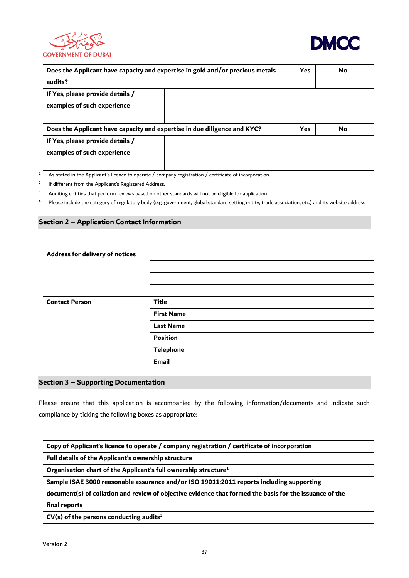



| Does the Applicant have capacity and expertise in gold and/or precious metals |  | <b>Yes</b> | No |  |
|-------------------------------------------------------------------------------|--|------------|----|--|
| audits?                                                                       |  |            |    |  |
| If Yes, please provide details /                                              |  |            |    |  |
| examples of such experience                                                   |  |            |    |  |
|                                                                               |  |            |    |  |
| Does the Applicant have capacity and expertise in due diligence and KYC?      |  | <b>Yes</b> | No |  |
| If Yes, please provide details /                                              |  |            |    |  |
| examples of such experience                                                   |  |            |    |  |
|                                                                               |  |            |    |  |

**<sup>1</sup>** As stated in the Applicant's licence to operate / company registration / certificate of incorporation.

<sup>2</sup> If different from the Applicant's Registered Address.

**<sup>3</sup>** Auditing entities that perform reviews based on other standards will not be eligible for application.

**<sup>4</sup>** Please include the category of regulatory body (e.g. government, global standard setting entity, trade association, etc.) and its website address

# **Section 2 – Application Contact Information**

| Address for delivery of notices |                   |
|---------------------------------|-------------------|
|                                 |                   |
|                                 |                   |
|                                 |                   |
| <b>Contact Person</b>           | <b>Title</b>      |
|                                 | <b>First Name</b> |
|                                 | <b>Last Name</b>  |
|                                 | <b>Position</b>   |
|                                 | <b>Telephone</b>  |
|                                 | Email             |

# **Section 3 – Supporting Documentation**

Please ensure that this application is accompanied by the following information/documents and indicate such compliance by ticking the following boxes as appropriate:

| Copy of Applicant's licence to operate / company registration / certificate of incorporation            |  |
|---------------------------------------------------------------------------------------------------------|--|
| Full details of the Applicant's ownership structure                                                     |  |
| Organisation chart of the Applicant's full ownership structure <sup>1</sup>                             |  |
| Sample ISAE 3000 reasonable assurance and/or ISO 19011:2011 reports including supporting                |  |
| document(s) of collation and review of objective evidence that formed the basis for the issuance of the |  |
| final reports                                                                                           |  |
| $CV(s)$ of the persons conducting audits <sup>2</sup>                                                   |  |

**CV(s) of the persons conducting audits2**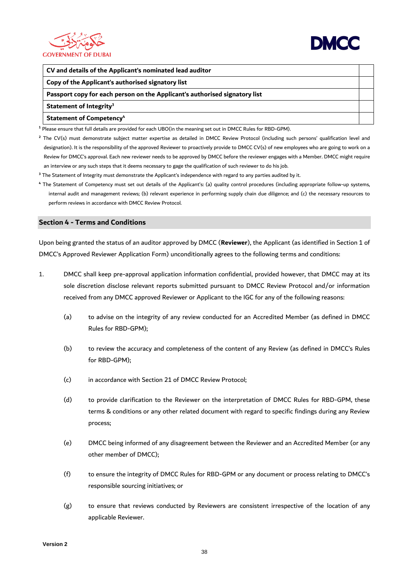



# **CV and details of the Applicant's nominated lead auditor**

#### **Copy of the Applicant's authorised signatory list**

# **Passport copy for each person on the Applicant's authorised signatory list**

#### **Statement of Integrity<sup>3</sup>**

# **Statement of Competency<sup>4</sup>**

<sup>1</sup> Please ensure that full details are provided for each UBO(in the meaning set out in DMCC Rules for RBD-GPM).

<sup>2</sup> The CV(s) must demonstrate subject matter expertise as detailed in DMCC Review Protocol (including such persons' qualification level and designation). It is the responsibility of the approved Reviewer to proactively provide to DMCC CV(s) of new employees who are going to work on a Review for DMCC's approval. Each new reviewer needs to be approved by DMCC before the reviewer engages with a Member. DMCC might require an interview or any such steps that it deems necessary to gage the qualification of such reviewer to do his job.

**<sup>3</sup>** The Statement of Integrity must demonstrate the Applicant's independence with regard to any parties audited by it.

**<sup>4</sup>** The Statement of Competency must set out details of the Applicant's: (a) quality control procedures (including appropriate follow-up systems, internal audit and management reviews; (b) relevant experience in performing supply chain due diligence; and (c) the necessary resources to perform reviews in accordance with DMCC Review Protocol.

# **Section 4 - Terms and Conditions**

Upon being granted the status of an auditor approved by DMCC (**Reviewer**), the Applicant (as identified in Section 1 of DMCC's Approved Reviewer Application Form) unconditionally agrees to the following terms and conditions:

- 1. DMCC shall keep pre-approval application information confidential, provided however, that DMCC may at its sole discretion disclose relevant reports submitted pursuant to DMCC Review Protocol and/or information received from any DMCC approved Reviewer or Applicant to the IGC for any of the following reasons:
	- (a) to advise on the integrity of any review conducted for an Accredited Member (as defined in DMCC Rules for RBD-GPM);
	- (b) to review the accuracy and completeness of the content of any Review (as defined in DMCC's Rules for RBD-GPM);
	- (c) in accordance with Section 21 of DMCC Review Protocol;
	- (d) to provide clarification to the Reviewer on the interpretation of DMCC Rules for RBD-GPM, these terms & conditions or any other related document with regard to specific findings during any Review process;
	- (e) DMCC being informed of any disagreement between the Reviewer and an Accredited Member (or any other member of DMCC);
	- (f) to ensure the integrity of DMCC Rules for RBD-GPM or any document or process relating to DMCC's responsible sourcing initiatives; or
	- (g) to ensure that reviews conducted by Reviewers are consistent irrespective of the location of any applicable Reviewer.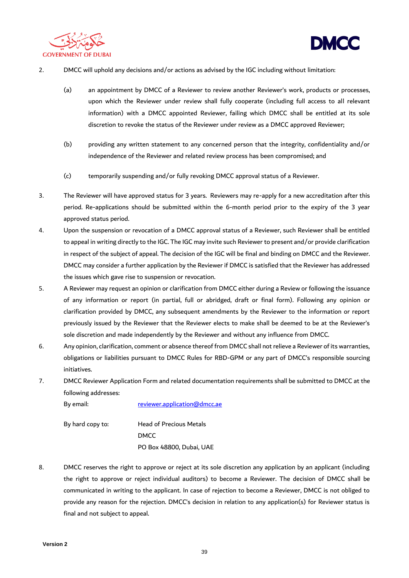



- 2. DMCC will uphold any decisions and/or actions as advised by the IGC including without limitation:
	- (a) an appointment by DMCC of a Reviewer to review another Reviewer's work, products or processes, upon which the Reviewer under review shall fully cooperate (including full access to all relevant information) with a DMCC appointed Reviewer, failing which DMCC shall be entitled at its sole discretion to revoke the status of the Reviewer under review as a DMCC approved Reviewer;
	- (b) providing any written statement to any concerned person that the integrity, confidentiality and/or independence of the Reviewer and related review process has been compromised; and
	- (c) temporarily suspending and/or fully revoking DMCC approval status of a Reviewer.
- 3. The Reviewer will have approved status for 3 years. Reviewers may re-apply for a new accreditation after this period. Re-applications should be submitted within the 6-month period prior to the expiry of the 3 year approved status period.
- 4. Upon the suspension or revocation of a DMCC approval status of a Reviewer, such Reviewer shall be entitled to appeal in writing directly to the IGC. The IGC may invite such Reviewer to present and/or provide clarification in respect of the subject of appeal. The decision of the IGC will be final and binding on DMCC and the Reviewer. DMCC may consider a further application by the Reviewer if DMCC is satisfied that the Reviewer has addressed the issues which gave rise to suspension or revocation.
- 5. A Reviewer may request an opinion or clarification from DMCC either during a Review or following the issuance of any information or report (in partial, full or abridged, draft or final form). Following any opinion or clarification provided by DMCC, any subsequent amendments by the Reviewer to the information or report previously issued by the Reviewer that the Reviewer elects to make shall be deemed to be at the Reviewer's sole discretion and made independently by the Reviewer and without any influence from DMCC.
- 6. Any opinion, clarification, comment or absence thereof from DMCC shall not relieve a Reviewer of its warranties, obligations or liabilities pursuant to DMCC Rules for RBD-GPM or any part of DMCC's responsible sourcing initiatives.
- 7. DMCC Reviewer Application Form and related documentation requirements shall be submitted to DMCC at the following addresses:

By email: [reviewer.application@dmcc.ae](mailto:reviewer.application@dmcc.ae)

By hard copy to: Head of Precious Metals

DMCC PO Box 48800, Dubai, UAE

8. DMCC reserves the right to approve or reject at its sole discretion any application by an applicant (including the right to approve or reject individual auditors) to become a Reviewer. The decision of DMCC shall be communicated in writing to the applicant. In case of rejection to become a Reviewer, DMCC is not obliged to provide any reason for the rejection. DMCC's decision in relation to any application(s) for Reviewer status is final and not subject to appeal.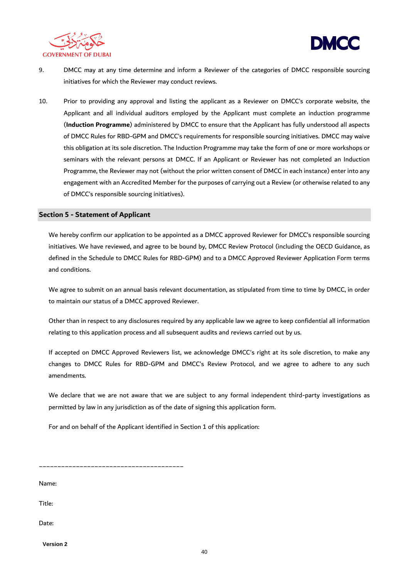



- 9. DMCC may at any time determine and inform a Reviewer of the categories of DMCC responsible sourcing initiatives for which the Reviewer may conduct reviews.
- 10. Prior to providing any approval and listing the applicant as a Reviewer on DMCC's corporate website, the Applicant and all individual auditors employed by the Applicant must complete an induction programme (**Induction Programme**) administered by DMCC to ensure that the Applicant has fully understood all aspects of DMCC Rules for RBD-GPM and DMCC's requirements for responsible sourcing initiatives. DMCC may waive this obligation at its sole discretion. The Induction Programme may take the form of one or more workshops or seminars with the relevant persons at DMCC. If an Applicant or Reviewer has not completed an Induction Programme, the Reviewer may not (without the prior written consent of DMCC in each instance) enter into any engagement with an Accredited Member for the purposes of carrying out a Review (or otherwise related to any of DMCC's responsible sourcing initiatives).

# **Section 5 - Statement of Applicant**

We hereby confirm our application to be appointed as a DMCC approved Reviewer for DMCC's responsible sourcing initiatives. We have reviewed, and agree to be bound by, DMCC Review Protocol (including the OECD Guidance, as defined in the Schedule to DMCC Rules for RBD-GPM) and to a DMCC Approved Reviewer Application Form terms and conditions.

We agree to submit on an annual basis relevant documentation, as stipulated from time to time by DMCC, in order to maintain our status of a DMCC approved Reviewer.

Other than in respect to any disclosures required by any applicable law we agree to keep confidential all information relating to this application process and all subsequent audits and reviews carried out by us.

If accepted on DMCC Approved Reviewers list, we acknowledge DMCC's right at its sole discretion, to make any changes to DMCC Rules for RBD-GPM and DMCC's Review Protocol, and we agree to adhere to any such amendments.

We declare that we are not aware that we are subject to any formal independent third-party investigations as permitted by law in any jurisdiction as of the date of signing this application form.

For and on behalf of the Applicant identified in Section 1 of this application:

\_\_\_\_\_\_\_\_\_\_\_\_\_\_\_\_\_\_\_\_\_\_\_\_\_\_\_\_\_\_\_\_\_\_\_\_\_\_\_

Name:

Title:

Date:

**Version 2**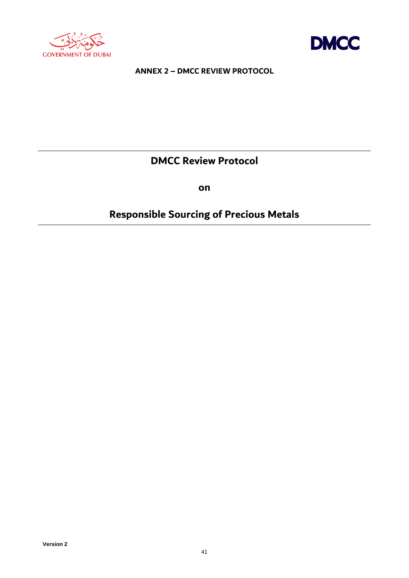



**ANNEX 2 – DMCC REVIEW PROTOCOL**

**DMCC Review Protocol** 

**on** 

# **Responsible Sourcing of Precious Metals**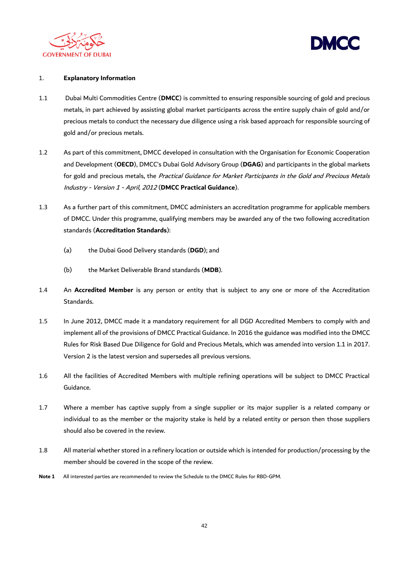



# 1. **Explanatory Information**

- 1.1 Dubai Multi Commodities Centre (**DMCC**) is committed to ensuring responsible sourcing of gold and precious metals, in part achieved by assisting global market participants across the entire supply chain of gold and/or precious metals to conduct the necessary due diligence using a risk based approach for responsible sourcing of gold and/or precious metals.
- 1.2 As part of this commitment, DMCC developed in consultation with the Organisation for Economic Cooperation and Development (**OECD**), DMCC's Dubai Gold Advisory Group (**DGAG**) and participants in the global markets for gold and precious metals, the Practical Guidance for Market Participants in the Gold and Precious Metals Industry - Version 1 - April, 2012 (**DMCC Practical Guidance**).
- 1.3 As a further part of this commitment, DMCC administers an accreditation programme for applicable members of DMCC. Under this programme, qualifying members may be awarded any of the two following accreditation standards (**Accreditation Standards**):
	- (a) the Dubai Good Delivery standards (**DGD**); and
	- (b) the Market Deliverable Brand standards (**MDB**).
- 1.4 An **Accredited Member** is any person or entity that is subject to any one or more of the Accreditation Standards.
- 1.5 In June 2012, DMCC made it a mandatory requirement for all DGD Accredited Members to comply with and implement all of the provisions of DMCC Practical Guidance. In 2016 the guidance was modified into the DMCC Rules for Risk Based Due Diligence for Gold and Precious Metals, which was amended into version 1.1 in 2017. Version 2 is the latest version and supersedes all previous versions.
- 1.6 All the facilities of Accredited Members with multiple refining operations will be subject to DMCC Practical Guidance.
- 1.7 Where a member has captive supply from a single supplier or its major supplier is a related company or individual to as the member or the majority stake is held by a related entity or person then those suppliers should also be covered in the review.
- 1.8 All material whether stored in a refinery location or outside which is intended for production/processing by the member should be covered in the scope of the review.
- **Note 1** All interested parties are recommended to review the Schedule to the DMCC Rules for RBD-GPM.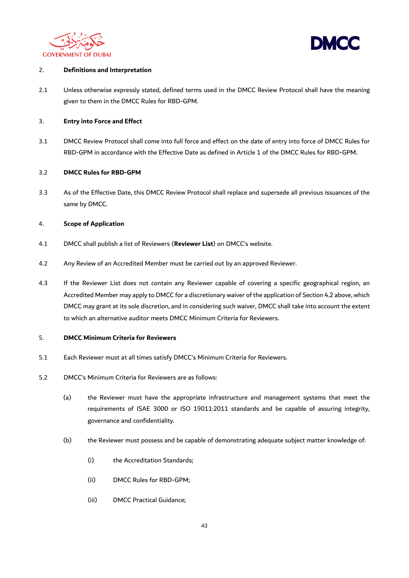



# 2. **Definitions and Interpretation**

2.1 Unless otherwise expressly stated, defined terms used in the DMCC Review Protocol shall have the meaning given to them in the DMCC Rules for RBD-GPM.

#### 3. **Entry into Force and Effect**

3.1 DMCC Review Protocol shall come into full force and effect on the date of entry into force of DMCC Rules for RBD-GPM in accordance with the Effective Date as defined in Article 1 of the DMCC Rules for RBD-GPM.

# 3.2 **DMCC Rules for RBD-GPM**

3.3 As of the Effective Date, this DMCC Review Protocol shall replace and supersede all previous issuances of the same by DMCC.

# 4. **Scope of Application**

- 4.1 DMCC shall publish a list of Reviewers (**Reviewer List**) on DMCC's website.
- 4.2 Any Review of an Accredited Member must be carried out by an approved Reviewer.
- 4.3 If the Reviewer List does not contain any Reviewer capable of covering a specific geographical region, an Accredited Member may apply to DMCC for a discretionary waiver of the application of Section 4.2 above, which DMCC may grant at its sole discretion, and in considering such waiver, DMCC shall take into account the extent to which an alternative auditor meets DMCC Minimum Criteria for Reviewers.

#### 5. **DMCC Minimum Criteria for Reviewers**

- 5.1 Each Reviewer must at all times satisfy DMCC's Minimum Criteria for Reviewers.
- 5.2 DMCC's Minimum Criteria for Reviewers are as follows:
	- (a) the Reviewer must have the appropriate infrastructure and management systems that meet the requirements of ISAE 3000 or ISO 19011:2011 standards and be capable of assuring integrity, governance and confidentiality.
	- (b) the Reviewer must possess and be capable of demonstrating adequate subject matter knowledge of:
		- (i) the Accreditation Standards;
		- (ii) DMCC Rules for RBD-GPM;
		- (iii) DMCC Practical Guidance;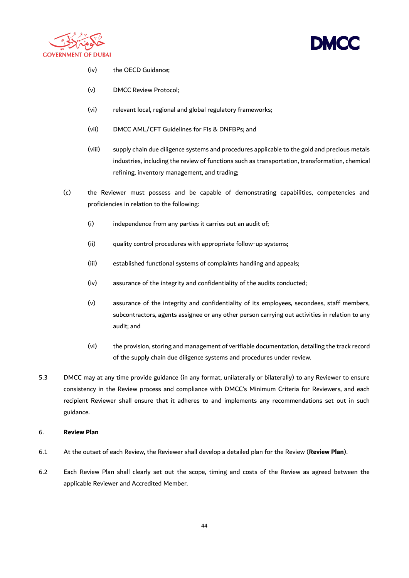



- (iv) the OECD Guidance;
- (v) DMCC Review Protocol;
- (vi) relevant local, regional and global regulatory frameworks;
- (vii) DMCC AML/CFT Guidelines for FIs & DNFBPs; and
- (viii) supply chain due diligence systems and procedures applicable to the gold and precious metals industries, including the review of functions such as transportation, transformation, chemical refining, inventory management, and trading;
- (c) the Reviewer must possess and be capable of demonstrating capabilities, competencies and proficiencies in relation to the following:
	- (i) independence from any parties it carries out an audit of;
	- (ii) quality control procedures with appropriate follow-up systems;
	- (iii) established functional systems of complaints handling and appeals;
	- (iv) assurance of the integrity and confidentiality of the audits conducted;
	- (v) assurance of the integrity and confidentiality of its employees, secondees, staff members, subcontractors, agents assignee or any other person carrying out activities in relation to any audit; and
	- (vi) the provision, storing and management of verifiable documentation, detailing the track record of the supply chain due diligence systems and procedures under review.
- 5.3 DMCC may at any time provide guidance (in any format, unilaterally or bilaterally) to any Reviewer to ensure consistency in the Review process and compliance with DMCC's Minimum Criteria for Reviewers, and each recipient Reviewer shall ensure that it adheres to and implements any recommendations set out in such guidance.

# 6. **Review Plan**

- 6.1 At the outset of each Review, the Reviewer shall develop a detailed plan for the Review (**Review Plan**).
- 6.2 Each Review Plan shall clearly set out the scope, timing and costs of the Review as agreed between the applicable Reviewer and Accredited Member.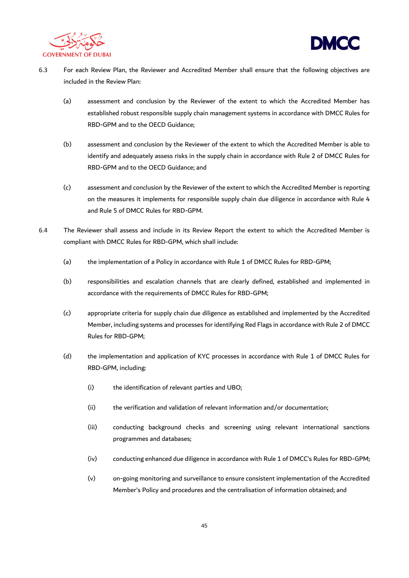



- 6.3 For each Review Plan, the Reviewer and Accredited Member shall ensure that the following objectives are included in the Review Plan:
	- (a) assessment and conclusion by the Reviewer of the extent to which the Accredited Member has established robust responsible supply chain management systems in accordance with DMCC Rules for RBD-GPM and to the OECD Guidance;
	- (b) assessment and conclusion by the Reviewer of the extent to which the Accredited Member is able to identify and adequately assess risks in the supply chain in accordance with Rule 2 of DMCC Rules for RBD-GPM and to the OECD Guidance; and
	- (c) assessment and conclusion by the Reviewer of the extent to which the Accredited Member is reporting on the measures it implements for responsible supply chain due diligence in accordance with Rule 4 and Rule 5 of DMCC Rules for RBD-GPM.
- 6.4 The Reviewer shall assess and include in its Review Report the extent to which the Accredited Member is compliant with DMCC Rules for RBD-GPM, which shall include:
	- (a) the implementation of a Policy in accordance with Rule 1 of DMCC Rules for RBD-GPM;
	- (b) responsibilities and escalation channels that are clearly defined, established and implemented in accordance with the requirements of DMCC Rules for RBD-GPM;
	- (c) appropriate criteria for supply chain due diligence as established and implemented by the Accredited Member, including systems and processes for identifying Red Flags in accordance with Rule 2 of DMCC Rules for RBD-GPM;
	- (d) the implementation and application of KYC processes in accordance with Rule 1 of DMCC Rules for RBD-GPM, including:
		- (i) the identification of relevant parties and UBO;
		- (ii) the verification and validation of relevant information and/or documentation;
		- (iii) conducting background checks and screening using relevant international sanctions programmes and databases;
		- (iv) conducting enhanced due diligence in accordance with Rule 1 of DMCC's Rules for RBD-GPM;
		- (v) on-going monitoring and surveillance to ensure consistent implementation of the Accredited Member's Policy and procedures and the centralisation of information obtained; and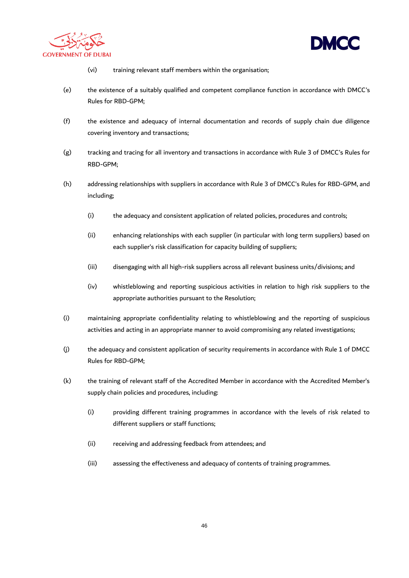



- (vi) training relevant staff members within the organisation;
- (e) the existence of a suitably qualified and competent compliance function in accordance with DMCC's Rules for RBD-GPM;
- (f) the existence and adequacy of internal documentation and records of supply chain due diligence covering inventory and transactions;
- (g) tracking and tracing for all inventory and transactions in accordance with Rule 3 of DMCC's Rules for RBD-GPM;
- (h) addressing relationships with suppliers in accordance with Rule 3 of DMCC's Rules for RBD-GPM, and including;
	- (i) the adequacy and consistent application of related policies, procedures and controls;
	- (ii) enhancing relationships with each supplier (in particular with long term suppliers) based on each supplier's risk classification for capacity building of suppliers;
	- (iii) disengaging with all high-risk suppliers across all relevant business units/divisions; and
	- (iv) whistleblowing and reporting suspicious activities in relation to high risk suppliers to the appropriate authorities pursuant to the Resolution;
- (i) maintaining appropriate confidentiality relating to whistleblowing and the reporting of suspicious activities and acting in an appropriate manner to avoid compromising any related investigations;
- (j) the adequacy and consistent application of security requirements in accordance with Rule 1 of DMCC Rules for RBD-GPM;
- (k) the training of relevant staff of the Accredited Member in accordance with the Accredited Member's supply chain policies and procedures, including:
	- (i) providing different training programmes in accordance with the levels of risk related to different suppliers or staff functions;
	- (ii) receiving and addressing feedback from attendees; and
	- (iii) assessing the effectiveness and adequacy of contents of training programmes.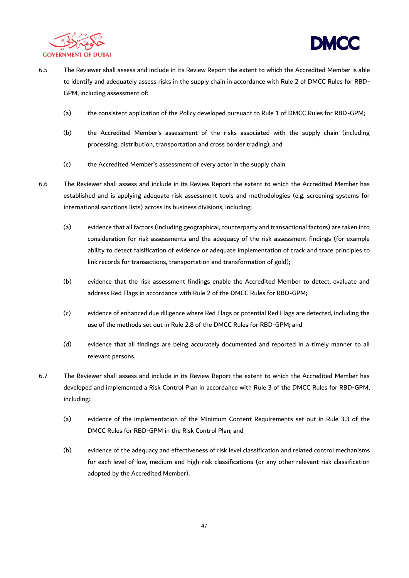



- 6.5 The Reviewer shall assess and include in its Review Report the extent to which the Accredited Member is able to identify and adequately assess risks in the supply chain in accordance with Rule 2 of DMCC Rules for RBD-GPM, including assessment of:
	- (a) the consistent application of the Policy developed pursuant to Rule 1 of DMCC Rules for RBD-GPM;
	- (b) the Accredited Member's assessment of the risks associated with the supply chain (including processing, distribution, transportation and cross border trading); and
	- (c) the Accredited Member's assessment of every actor in the supply chain.
- 6.6 The Reviewer shall assess and include in its Review Report the extent to which the Accredited Member has established and is applying adequate risk assessment tools and methodologies (e.g. screening systems for international sanctions lists) across its business divisions, including:
	- (a) evidence that all factors (including geographical, counterparty and transactional factors) are taken into consideration for risk assessments and the adequacy of the risk assessment findings (for example ability to detect falsification of evidence or adequate implementation of track and trace principles to link records for transactions, transportation and transformation of gold);
	- (b) evidence that the risk assessment findings enable the Accredited Member to detect, evaluate and address Red Flags in accordance with Rule 2 of the DMCC Rules for RBD-GPM;
	- (c) evidence of enhanced due diligence where Red Flags or potential Red Flags are detected, including the use of the methods set out in Rule 2.8 of the DMCC Rules for RBD-GPM; and
	- (d) evidence that all findings are being accurately documented and reported in a timely manner to all relevant persons.
- 6.7 The Reviewer shall assess and include in its Review Report the extent to which the Accredited Member has developed and implemented a Risk Control Plan in accordance with Rule 3 of the DMCC Rules for RBD-GPM, including:
	- (a) evidence of the implementation of the Minimum Content Requirements set out in Rule 3.3 of the DMCC Rules for RBD-GPM in the Risk Control Plan; and
	- (b) evidence of the adequacy and effectiveness of risk level classification and related control mechanisms for each level of low, medium and high-risk classifications (or any other relevant risk classification adopted by the Accredited Member).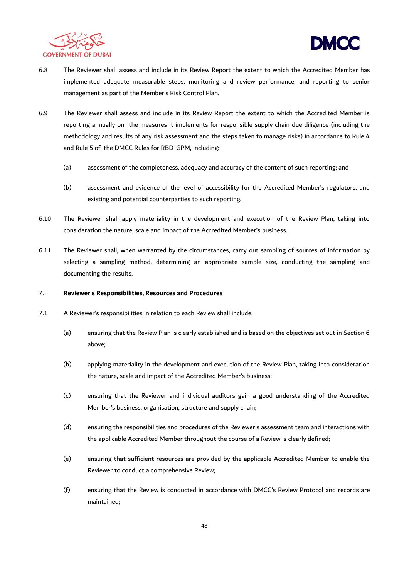



- 6.8 The Reviewer shall assess and include in its Review Report the extent to which the Accredited Member has implemented adequate measurable steps, monitoring and review performance, and reporting to senior management as part of the Member's Risk Control Plan.
- 6.9 The Reviewer shall assess and include in its Review Report the extent to which the Accredited Member is reporting annually on the measures it implements for responsible supply chain due diligence (including the methodology and results of any risk assessment and the steps taken to manage risks) in accordance to Rule 4 and Rule 5 of the DMCC Rules for RBD-GPM, including:
	- (a) assessment of the completeness, adequacy and accuracy of the content of such reporting; and
	- (b) assessment and evidence of the level of accessibility for the Accredited Member's regulators, and existing and potential counterparties to such reporting.
- 6.10 The Reviewer shall apply materiality in the development and execution of the Review Plan, taking into consideration the nature, scale and impact of the Accredited Member's business.
- 6.11 The Reviewer shall, when warranted by the circumstances, carry out sampling of sources of information by selecting a sampling method, determining an appropriate sample size, conducting the sampling and documenting the results.

# 7. **Reviewer's Responsibilities, Resources and Procedures**

- 7.1 A Reviewer's responsibilities in relation to each Review shall include:
	- (a) ensuring that the Review Plan is clearly established and is based on the objectives set out in Section 6 above;
	- (b) applying materiality in the development and execution of the Review Plan, taking into consideration the nature, scale and impact of the Accredited Member's business;
	- (c) ensuring that the Reviewer and individual auditors gain a good understanding of the Accredited Member's business, organisation, structure and supply chain;
	- (d) ensuring the responsibilities and procedures of the Reviewer's assessment team and interactions with the applicable Accredited Member throughout the course of a Review is clearly defined;
	- (e) ensuring that sufficient resources are provided by the applicable Accredited Member to enable the Reviewer to conduct a comprehensive Review;
	- (f) ensuring that the Review is conducted in accordance with DMCC's Review Protocol and records are maintained;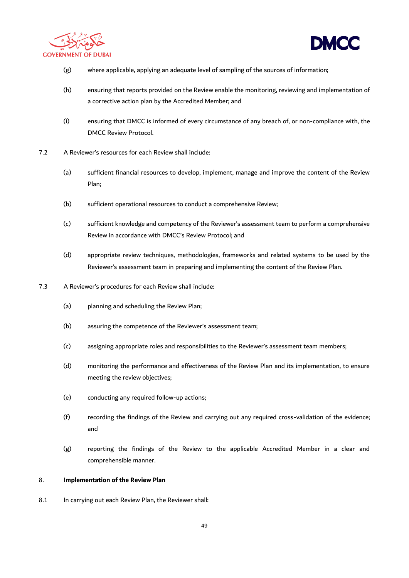



- (g) where applicable, applying an adequate level of sampling of the sources of information;
- (h) ensuring that reports provided on the Review enable the monitoring, reviewing and implementation of a corrective action plan by the Accredited Member; and
- (i) ensuring that DMCC is informed of every circumstance of any breach of, or non-compliance with, the DMCC Review Protocol.
- 7.2 A Reviewer's resources for each Review shall include:
	- (a) sufficient financial resources to develop, implement, manage and improve the content of the Review Plan;
	- (b) sufficient operational resources to conduct a comprehensive Review;
	- (c) sufficient knowledge and competency of the Reviewer's assessment team to perform a comprehensive Review in accordance with DMCC's Review Protocol; and
	- (d) appropriate review techniques, methodologies, frameworks and related systems to be used by the Reviewer's assessment team in preparing and implementing the content of the Review Plan.
- 7.3 A Reviewer's procedures for each Review shall include:
	- (a) planning and scheduling the Review Plan;
	- (b) assuring the competence of the Reviewer's assessment team;
	- (c) assigning appropriate roles and responsibilities to the Reviewer's assessment team members;
	- (d) monitoring the performance and effectiveness of the Review Plan and its implementation, to ensure meeting the review objectives;
	- (e) conducting any required follow-up actions;
	- (f) recording the findings of the Review and carrying out any required cross-validation of the evidence; and
	- (g) reporting the findings of the Review to the applicable Accredited Member in a clear and comprehensible manner.

# 8. **Implementation of the Review Plan**

8.1 In carrying out each Review Plan, the Reviewer shall: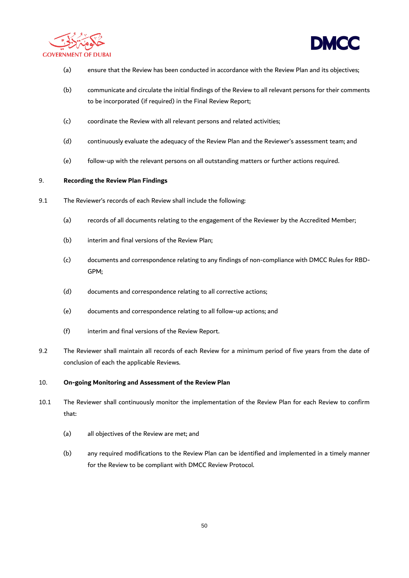



- (a) ensure that the Review has been conducted in accordance with the Review Plan and its objectives;
- (b) communicate and circulate the initial findings of the Review to all relevant persons for their comments to be incorporated (if required) in the Final Review Report;
- (c) coordinate the Review with all relevant persons and related activities;
- (d) continuously evaluate the adequacy of the Review Plan and the Reviewer's assessment team; and
- (e) follow-up with the relevant persons on all outstanding matters or further actions required.

# 9. **Recording the Review Plan Findings**

- 9.1 The Reviewer's records of each Review shall include the following:
	- (a) records of all documents relating to the engagement of the Reviewer by the Accredited Member;
	- (b) interim and final versions of the Review Plan;
	- (c) documents and correspondence relating to any findings of non-compliance with DMCC Rules for RBD-GPM;
	- (d) documents and correspondence relating to all corrective actions;
	- (e) documents and correspondence relating to all follow-up actions; and
	- (f) interim and final versions of the Review Report.
- 9.2 The Reviewer shall maintain all records of each Review for a minimum period of five years from the date of conclusion of each the applicable Reviews.

### 10. **On-going Monitoring and Assessment of the Review Plan**

- 10.1 The Reviewer shall continuously monitor the implementation of the Review Plan for each Review to confirm that:
	- (a) all objectives of the Review are met; and
	- (b) any required modifications to the Review Plan can be identified and implemented in a timely manner for the Review to be compliant with DMCC Review Protocol.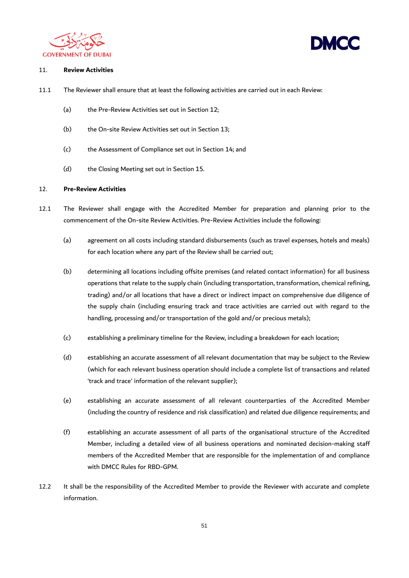



# 11. **Review Activities**

- 11.1 The Reviewer shall ensure that at least the following activities are carried out in each Review:
	- (a) the Pre-Review Activities set out in Section 12;
	- (b) the On-site Review Activities set out in Section 13;
	- (c) the Assessment of Compliance set out in Section 14; and
	- (d) the Closing Meeting set out in Section 15.

# 12. **Pre-Review Activities**

- 12.1 The Reviewer shall engage with the Accredited Member for preparation and planning prior to the commencement of the On-site Review Activities. Pre-Review Activities include the following:
	- (a) agreement on all costs including standard disbursements (such as travel expenses, hotels and meals) for each location where any part of the Review shall be carried out;
	- (b) determining all locations including offsite premises (and related contact information) for all business operations that relate to the supply chain (including transportation, transformation, chemical refining, trading) and/or all locations that have a direct or indirect impact on comprehensive due diligence of the supply chain (including ensuring track and trace activities are carried out with regard to the handling, processing and/or transportation of the gold and/or precious metals);
	- (c) establishing a preliminary timeline for the Review, including a breakdown for each location;
	- (d) establishing an accurate assessment of all relevant documentation that may be subject to the Review (which for each relevant business operation should include a complete list of transactions and related 'track and trace' information of the relevant supplier);
	- (e) establishing an accurate assessment of all relevant counterparties of the Accredited Member (including the country of residence and risk classification) and related due diligence requirements; and
	- (f) establishing an accurate assessment of all parts of the organisational structure of the Accredited Member, including a detailed view of all business operations and nominated decision-making staff members of the Accredited Member that are responsible for the implementation of and compliance with DMCC Rules for RBD-GPM.
- 12.2 It shall be the responsibility of the Accredited Member to provide the Reviewer with accurate and complete information.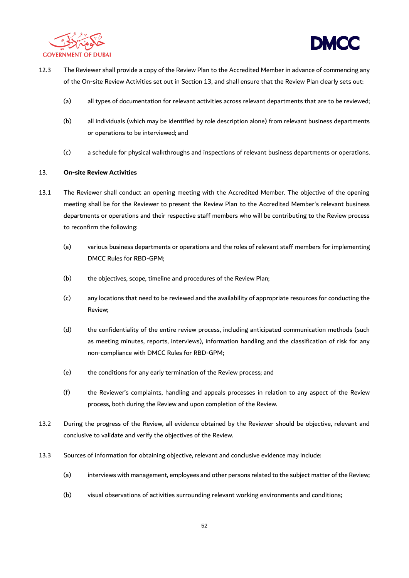



- 12.3 The Reviewer shall provide a copy of the Review Plan to the Accredited Member in advance of commencing any of the On-site Review Activities set out in Section 13, and shall ensure that the Review Plan clearly sets out:
	- (a) all types of documentation for relevant activities across relevant departments that are to be reviewed;
	- (b) all individuals (which may be identified by role description alone) from relevant business departments or operations to be interviewed; and
	- (c) a schedule for physical walkthroughs and inspections of relevant business departments or operations.

# 13. **On-site Review Activities**

- 13.1 The Reviewer shall conduct an opening meeting with the Accredited Member. The objective of the opening meeting shall be for the Reviewer to present the Review Plan to the Accredited Member's relevant business departments or operations and their respective staff members who will be contributing to the Review process to reconfirm the following:
	- (a) various business departments or operations and the roles of relevant staff members for implementing DMCC Rules for RBD-GPM;
	- (b) the objectives, scope, timeline and procedures of the Review Plan;
	- (c) any locations that need to be reviewed and the availability of appropriate resources for conducting the Review;
	- (d) the confidentiality of the entire review process, including anticipated communication methods (such as meeting minutes, reports, interviews), information handling and the classification of risk for any non-compliance with DMCC Rules for RBD-GPM;
	- (e) the conditions for any early termination of the Review process; and
	- (f) the Reviewer's complaints, handling and appeals processes in relation to any aspect of the Review process, both during the Review and upon completion of the Review.
- 13.2 During the progress of the Review, all evidence obtained by the Reviewer should be objective, relevant and conclusive to validate and verify the objectives of the Review.
- 13.3 Sources of information for obtaining objective, relevant and conclusive evidence may include:
	- (a) interviews with management, employees and other persons related to the subject matter of the Review;
	- (b) visual observations of activities surrounding relevant working environments and conditions;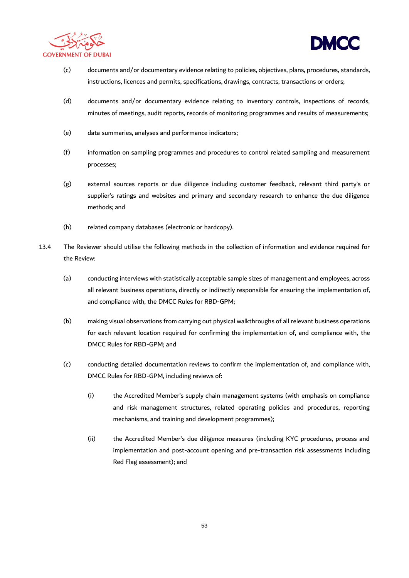



- (c) documents and/or documentary evidence relating to policies, objectives, plans, procedures, standards, instructions, licences and permits, specifications, drawings, contracts, transactions or orders;
- (d) documents and/or documentary evidence relating to inventory controls, inspections of records, minutes of meetings, audit reports, records of monitoring programmes and results of measurements;
- (e) data summaries, analyses and performance indicators;
- (f) information on sampling programmes and procedures to control related sampling and measurement processes;
- (g) external sources reports or due diligence including customer feedback, relevant third party's or supplier's ratings and websites and primary and secondary research to enhance the due diligence methods; and
- (h) related company databases (electronic or hardcopy).
- 13.4 The Reviewer should utilise the following methods in the collection of information and evidence required for the Review:
	- (a) conducting interviews with statistically acceptable sample sizes of management and employees, across all relevant business operations, directly or indirectly responsible for ensuring the implementation of, and compliance with, the DMCC Rules for RBD-GPM;
	- (b) making visual observations from carrying out physical walkthroughs of all relevant business operations for each relevant location required for confirming the implementation of, and compliance with, the DMCC Rules for RBD-GPM; and
	- (c) conducting detailed documentation reviews to confirm the implementation of, and compliance with, DMCC Rules for RBD-GPM, including reviews of:
		- (i) the Accredited Member's supply chain management systems (with emphasis on compliance and risk management structures, related operating policies and procedures, reporting mechanisms, and training and development programmes);
		- (ii) the Accredited Member's due diligence measures (including KYC procedures, process and implementation and post-account opening and pre-transaction risk assessments including Red Flag assessment); and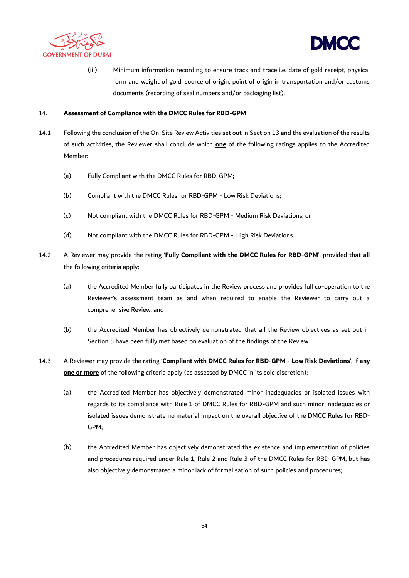



(iii) Minimum information recording to ensure track and trace i.e. date of gold receipt, physical form and weight of gold, source of origin, point of origin in transportation and/or customs documents (recording of seal numbers and/or packaging list).

# <span id="page-53-0"></span>14. **Assessment of Compliance with the DMCC Rules for RBD-GPM**

- 14.1 Following the conclusion of the On-Site Review Activities set out in Section 13 and the evaluation of the results of such activities, the Reviewer shall conclude which **one** of the following ratings applies to the Accredited Member:
	- (a) Fully Compliant with the DMCC Rules for RBD-GPM;
	- (b) Compliant with the DMCC Rules for RBD-GPM Low Risk Deviations;
	- (c) Not compliant with the DMCC Rules for RBD-GPM Medium Risk Deviations; or
	- (d) Not compliant with the DMCC Rules for RBD-GPM High Risk Deviations.
- 14.2 A Reviewer may provide the rating '**Fully Compliant with the DMCC Rules for RBD-GPM**', provided that **all** the following criteria apply:
	- (a) the Accredited Member fully participates in the Review process and provides full co-operation to the Reviewer's assessment team as and when required to enable the Reviewer to carry out a comprehensive Review; and
	- (b) the Accredited Member has objectively demonstrated that all the Review objectives as set out in Section 5 have been fully met based on evaluation of the findings of the Review.
- 14.3 A Reviewer may provide the rating '**Compliant with DMCC Rules for RBD-GPM - Low Risk Deviations**', if **any one or more** of the following criteria apply (as assessed by DMCC in its sole discretion):
	- (a) the Accredited Member has objectively demonstrated minor inadequacies or isolated issues with regards to its compliance with Rule 1 of DMCC Rules for RBD-GPM and such minor inadequacies or isolated issues demonstrate no material impact on the overall objective of the DMCC Rules for RBD-GPM;
	- (b) the Accredited Member has objectively demonstrated the existence and implementation of policies and procedures required under Rule 1, Rule 2 and Rule 3 of the DMCC Rules for RBD-GPM, but has also objectively demonstrated a minor lack of formalisation of such policies and procedures;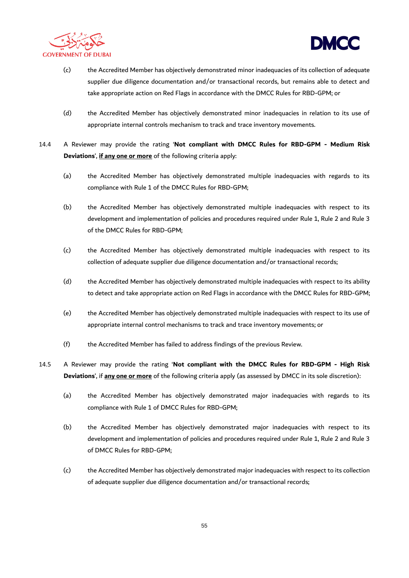



- (c) the Accredited Member has objectively demonstrated minor inadequacies of its collection of adequate supplier due diligence documentation and/or transactional records, but remains able to detect and take appropriate action on Red Flags in accordance with the DMCC Rules for RBD-GPM; or
- (d) the Accredited Member has objectively demonstrated minor inadequacies in relation to its use of appropriate internal controls mechanism to track and trace inventory movements.
- 14.4 A Reviewer may provide the rating '**Not compliant with DMCC Rules for RBD-GPM - Medium Risk Deviations**', **if any one or more** of the following criteria apply:
	- (a) the Accredited Member has objectively demonstrated multiple inadequacies with regards to its compliance with Rule 1 of the DMCC Rules for RBD-GPM;
	- (b) the Accredited Member has objectively demonstrated multiple inadequacies with respect to its development and implementation of policies and procedures required under Rule 1, Rule 2 and Rule 3 of the DMCC Rules for RBD-GPM;
	- (c) the Accredited Member has objectively demonstrated multiple inadequacies with respect to its collection of adequate supplier due diligence documentation and/or transactional records;
	- (d) the Accredited Member has objectively demonstrated multiple inadequacies with respect to its ability to detect and take appropriate action on Red Flags in accordance with the DMCC Rules for RBD-GPM;
	- (e) the Accredited Member has objectively demonstrated multiple inadequacies with respect to its use of appropriate internal control mechanisms to track and trace inventory movements; or
	- (f) the Accredited Member has failed to address findings of the previous Review.
- 14.5 A Reviewer may provide the rating '**Not compliant with the DMCC Rules for RBD-GPM - High Risk Deviations**', if **any one or more** of the following criteria apply (as assessed by DMCC in its sole discretion):
	- (a) the Accredited Member has objectively demonstrated major inadequacies with regards to its compliance with Rule 1 of DMCC Rules for RBD-GPM;
	- (b) the Accredited Member has objectively demonstrated major inadequacies with respect to its development and implementation of policies and procedures required under Rule 1, Rule 2 and Rule 3 of DMCC Rules for RBD-GPM;
	- (c) the Accredited Member has objectively demonstrated major inadequacies with respect to its collection of adequate supplier due diligence documentation and/or transactional records;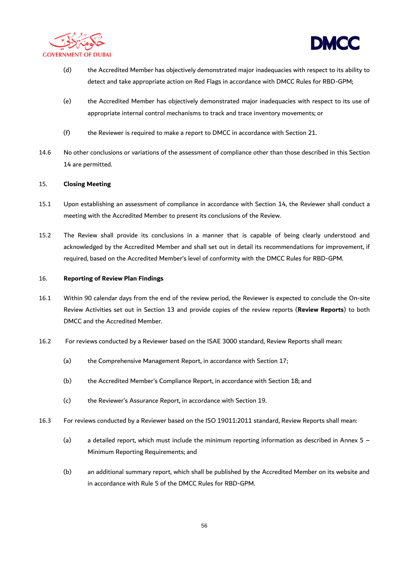



- (d) the Accredited Member has objectively demonstrated major inadequacies with respect to its ability to detect and take appropriate action on Red Flags in accordance with DMCC Rules for RBD-GPM;
- (e) the Accredited Member has objectively demonstrated major inadequacies with respect to its use of appropriate internal control mechanisms to track and trace inventory movements; or
- (f) the Reviewer is required to make a report to DMCC in accordance with Sectio[n 21.](#page-58-0)
- 14.6 No other conclusions or variations of the assessment of compliance other than those described in this Section 14 are permitted.

# 15. **Closing Meeting**

- 15.1 Upon establishing an assessment of compliance in accordance with Section [14,](#page-53-0) the Reviewer shall conduct a meeting with the Accredited Member to present its conclusions of the Review.
- 15.2 The Review shall provide its conclusions in a manner that is capable of being clearly understood and acknowledged by the Accredited Member and shall set out in detail its recommendations for improvement, if required, based on the Accredited Member's level of conformity with the DMCC Rules for RBD-GPM.

# 16. **Reporting of Review Plan Findings**

- 16.1 Within 90 calendar days from the end of the review period, the Reviewer is expected to conclude the On-site Review Activities set out in Section 13 and provide copies of the review reports (**Review Reports**) to both DMCC and the Accredited Member.
- 16.2 For reviews conducted by a Reviewer based on the ISAE 3000 standard, Review Reports shall mean:
	- (a) the Comprehensive Management Report, in accordance with Section 17;
	- (b) the Accredited Member's Compliance Report, in accordance with Section 18; and
	- (c) the Reviewer's Assurance Report, in accordance with Section 19.
- 16.3 For reviews conducted by a Reviewer based on the ISO 19011:2011 standard, Review Reports shall mean:
	- (a) a detailed report, which must include the minimum reporting information as described in Annex 5 Minimum Reporting Requirements; and
	- (b) an additional summary report, which shall be published by the Accredited Member on its website and in accordance with Rule 5 of the DMCC Rules for RBD-GPM.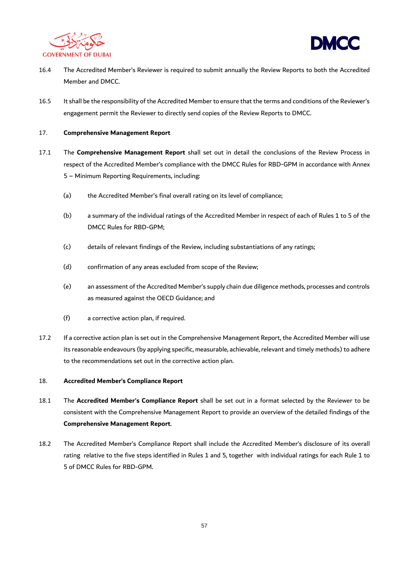



- 16.4 The Accredited Member's Reviewer is required to submit annually the Review Reports to both the Accredited Member and DMCC.
- 16.5 It shall be the responsibility of the Accredited Member to ensure that the terms and conditions of the Reviewer's engagement permit the Reviewer to directly send copies of the Review Reports to DMCC.
- 17. **Comprehensive Management Report**
- 17.1 The **Comprehensive Management Report** shall set out in detail the conclusions of the Review Process in respect of the Accredited Member's compliance with the DMCC Rules for RBD-GPM in accordance with Annex 5 – Minimum Reporting Requirements, including:
	- (a) the Accredited Member's final overall rating on its level of compliance;
	- (b) a summary of the individual ratings of the Accredited Member in respect of each of Rules 1 to 5 of the DMCC Rules for RBD-GPM;
	- (c) details of relevant findings of the Review, including substantiations of any ratings;
	- (d) confirmation of any areas excluded from scope of the Review;
	- (e) an assessment of the Accredited Member's supply chain due diligence methods, processes and controls as measured against the OECD Guidance; and
	- (f) a corrective action plan, if required.
- 17.2 If a corrective action plan is set out in the Comprehensive Management Report, the Accredited Member will use its reasonable endeavours (by applying specific, measurable, achievable, relevant and timely methods) to adhere to the recommendations set out in the corrective action plan.

# 18. **Accredited Member's Compliance Report**

- 18.1 The **Accredited Member's Compliance Report** shall be set out in a format selected by the Reviewer to be consistent with the Comprehensive Management Report to provide an overview of the detailed findings of the **Comprehensive Management Report**.
- 18.2 The Accredited Member's Compliance Report shall include the Accredited Member's disclosure of its overall rating relative to the five steps identified in Rules 1 and 5, together with individual ratings for each Rule 1 to 5 of DMCC Rules for RBD-GPM.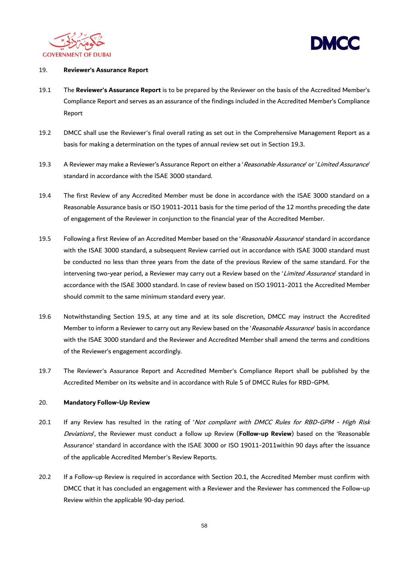



#### 19. **Reviewer's Assurance Report**

- 19.1 The **Reviewer's Assurance Report** is to be prepared by the Reviewer on the basis of the Accredited Member's Compliance Report and serves as an assurance of the findings included in the Accredited Member's Compliance Report
- 19.2 DMCC shall use the Reviewer's final overall rating as set out in the Comprehensive Management Report as a basis for making a determination on the types of annual review set out in Section 19.3.
- 19.3 A Reviewer may make a Reviewer's Assurance Report on either a 'Reasonable Assurance' or 'Limited Assurance' standard in accordance with the ISAE 3000 standard.
- 19.4 The first Review of any Accredited Member must be done in accordance with the ISAE 3000 standard on a Reasonable Assurance basis or ISO 19011-2011 basis for the time period of the 12 months preceding the date of engagement of the Reviewer in conjunction to the financial year of the Accredited Member.
- 19.5 Following a first Review of an Accredited Member based on the 'Reasonable Assurance' standard in accordance with the ISAE 3000 standard, a subsequent Review carried out in accordance with ISAE 3000 standard must be conducted no less than three years from the date of the previous Review of the same standard. For the intervening two-year period, a Reviewer may carry out a Review based on the 'Limited Assurance' standard in accordance with the ISAE 3000 standard. In case of review based on ISO 19011-2011 the Accredited Member should commit to the same minimum standard every year.
- 19.6 Notwithstanding Section 19.5, at any time and at its sole discretion, DMCC may instruct the Accredited Member to inform a Reviewer to carry out any Review based on the 'Reasonable Assurance' basis in accordance with the ISAE 3000 standard and the Reviewer and Accredited Member shall amend the terms and conditions of the Reviewer's engagement accordingly.
- 19.7 The Reviewer's Assurance Report and Accredited Member's Compliance Report shall be published by the Accredited Member on its website and in accordance with Rule 5 of DMCC Rules for RBD-GPM.

### 20. **Mandatory Follow-Up Review**

- 20.1 If any Review has resulted in the rating of 'Not compliant with DMCC Rules for RBD-GPM High Risk Deviations', the Reviewer must conduct a follow up Review (**Follow-up Review**) based on the 'Reasonable Assurance' standard in accordance with the ISAE 3000 or ISO 19011-2011within 90 days after the issuance of the applicable Accredited Member's Review Reports.
- 20.2 If a Follow-up Review is required in accordance with Section 20.1, the Accredited Member must confirm with DMCC that it has concluded an engagement with a Reviewer and the Reviewer has commenced the Follow-up Review within the applicable 90-day period.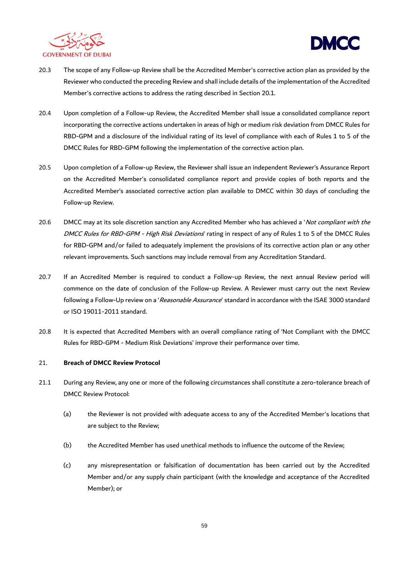



- 20.3 The scope of any Follow-up Review shall be the Accredited Member's corrective action plan as provided by the Reviewer who conducted the preceding Review and shall include details of the implementation of the Accredited Member's corrective actions to address the rating described in Section 20.1.
- 20.4 Upon completion of a Follow-up Review, the Accredited Member shall issue a consolidated compliance report incorporating the corrective actions undertaken in areas of high or medium risk deviation from DMCC Rules for RBD-GPM and a disclosure of the individual rating of its level of compliance with each of Rules 1 to 5 of the DMCC Rules for RBD-GPM following the implementation of the corrective action plan.
- 20.5 Upon completion of a Follow-up Review, the Reviewer shall issue an independent Reviewer's Assurance Report on the Accredited Member's consolidated compliance report and provide copies of both reports and the Accredited Member's associated corrective action plan available to DMCC within 30 days of concluding the Follow-up Review.
- 20.6 DMCC may at its sole discretion sanction any Accredited Member who has achieved a 'Not compliant with the DMCC Rules for RBD-GPM - High Risk Deviations' rating in respect of any of Rules 1 to 5 of the DMCC Rules for RBD-GPM and/or failed to adequately implement the provisions of its corrective action plan or any other relevant improvements. Such sanctions may include removal from any Accreditation Standard.
- 20.7 If an Accredited Member is required to conduct a Follow-up Review, the next annual Review period will commence on the date of conclusion of the Follow-up Review. A Reviewer must carry out the next Review following a Follow-Up review on a 'Reasonable Assurance' standard in accordance with the ISAE 3000 standard or ISO 19011-2011 standard.
- 20.8 It is expected that Accredited Members with an overall compliance rating of 'Not Compliant with the DMCC Rules for RBD-GPM - Medium Risk Deviations' improve their performance over time.

#### <span id="page-58-0"></span>21. **Breach of DMCC Review Protocol**

- 21.1 During any Review, any one or more of the following circumstances shall constitute a zero-tolerance breach of DMCC Review Protocol:
	- (a) the Reviewer is not provided with adequate access to any of the Accredited Member's locations that are subject to the Review;
	- (b) the Accredited Member has used unethical methods to influence the outcome of the Review;
	- (c) any misrepresentation or falsification of documentation has been carried out by the Accredited Member and/or any supply chain participant (with the knowledge and acceptance of the Accredited Member); or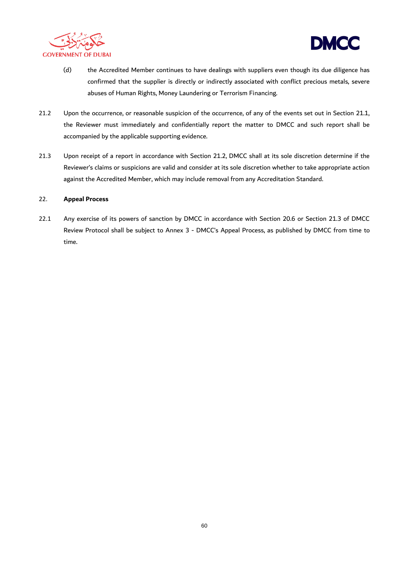



- (d) the Accredited Member continues to have dealings with suppliers even though its due diligence has confirmed that the supplier is directly or indirectly associated with conflict precious metals, severe abuses of Human Rights, Money Laundering or Terrorism Financing.
- 21.2 Upon the occurrence, or reasonable suspicion of the occurrence, of any of the events set out in Section 21.1, the Reviewer must immediately and confidentially report the matter to DMCC and such report shall be accompanied by the applicable supporting evidence.
- 21.3 Upon receipt of a report in accordance with Section 21.2, DMCC shall at its sole discretion determine if the Reviewer's claims or suspicions are valid and consider at its sole discretion whether to take appropriate action against the Accredited Member, which may include removal from any Accreditation Standard.

# 22. **Appeal Process**

22.1 Any exercise of its powers of sanction by DMCC in accordance with Section 20.6 or Section 21.3 of DMCC Review Protocol shall be subject to Annex 3 - DMCC's Appeal Process, as published by DMCC from time to time.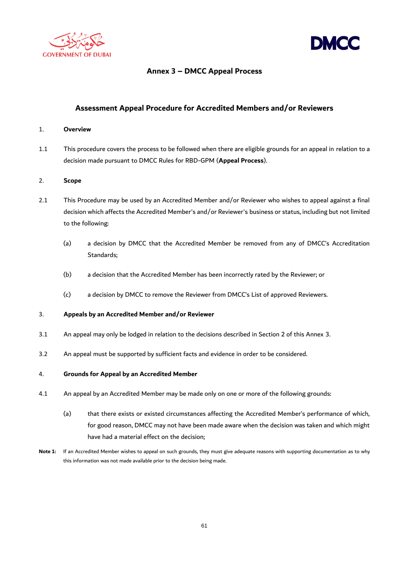



# **Annex 3 – DMCC Appeal Process**

# **Assessment Appeal Procedure for Accredited Members and/or Reviewers**

#### 1. **Overview**

1.1 This procedure covers the process to be followed when there are eligible grounds for an appeal in relation to a decision made pursuant to DMCC Rules for RBD-GPM (**Appeal Process**).

# 2. **Scope**

- 2.1 This Procedure may be used by an Accredited Member and/or Reviewer who wishes to appeal against a final decision which affects the Accredited Member's and/or Reviewer's business or status, including but not limited to the following:
	- (a) a decision by DMCC that the Accredited Member be removed from any of DMCC's Accreditation Standards;
	- (b) a decision that the Accredited Member has been incorrectly rated by the Reviewer; or
	- (c) a decision by DMCC to remove the Reviewer from DMCC's List of approved Reviewers.

# 3. **Appeals by an Accredited Member and/or Reviewer**

- 3.1 An appeal may only be lodged in relation to the decisions described in Section 2 of this Annex 3.
- 3.2 An appeal must be supported by sufficient facts and evidence in order to be considered.

# 4. **Grounds for Appeal by an Accredited Member**

- 4.1 An appeal by an Accredited Member may be made only on one or more of the following grounds:
	- (a) that there exists or existed circumstances affecting the Accredited Member's performance of which, for good reason, DMCC may not have been made aware when the decision was taken and which might have had a material effect on the decision;
- Note 1: If an Accredited Member wishes to appeal on such grounds, they must give adequate reasons with supporting documentation as to why this information was not made available prior to the decision being made.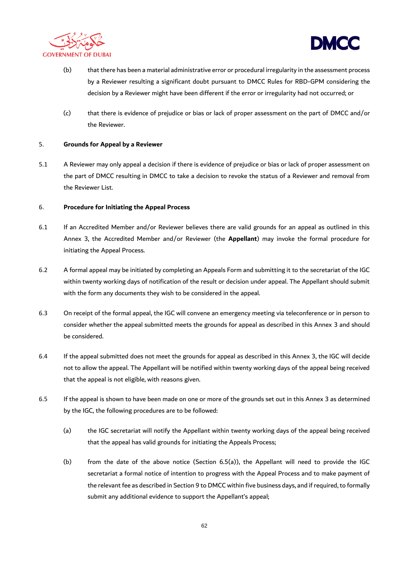



- (b) that there has been a material administrative error or procedural irregularity in the assessment process by a Reviewer resulting a significant doubt pursuant to DMCC Rules for RBD-GPM considering the decision by a Reviewer might have been different if the error or irregularity had not occurred; or
- (c) that there is evidence of prejudice or bias or lack of proper assessment on the part of DMCC and/or the Reviewer.

# 5. **Grounds for Appeal by a Reviewer**

5.1 A Reviewer may only appeal a decision if there is evidence of prejudice or bias or lack of proper assessment on the part of DMCC resulting in DMCC to take a decision to revoke the status of a Reviewer and removal from the Reviewer List.

# 6. **Procedure for Initiating the Appeal Process**

- 6.1 If an Accredited Member and/or Reviewer believes there are valid grounds for an appeal as outlined in this Annex 3, the Accredited Member and/or Reviewer (the **Appellant**) may invoke the formal procedure for initiating the Appeal Process.
- 6.2 A formal appeal may be initiated by completing an Appeals Form and submitting it to the secretariat of the IGC within twenty working days of notification of the result or decision under appeal. The Appellant should submit with the form any documents they wish to be considered in the appeal.
- 6.3 On receipt of the formal appeal, the IGC will convene an emergency meeting via teleconference or in person to consider whether the appeal submitted meets the grounds for appeal as described in this Annex 3 and should be considered.
- 6.4 If the appeal submitted does not meet the grounds for appeal as described in this Annex 3, the IGC will decide not to allow the appeal. The Appellant will be notified within twenty working days of the appeal being received that the appeal is not eligible, with reasons given.
- 6.5 If the appeal is shown to have been made on one or more of the grounds set out in this Annex 3 as determined by the IGC, the following procedures are to be followed:
	- (a) the IGC secretariat will notify the Appellant within twenty working days of the appeal being received that the appeal has valid grounds for initiating the Appeals Process;
	- (b) from the date of the above notice (Section 6.5(a)), the Appellant will need to provide the IGC secretariat a formal notice of intention to progress with the Appeal Process and to make payment of the relevant fee as described in Section 9 to DMCC within five business days, and if required, to formally submit any additional evidence to support the Appellant's appeal;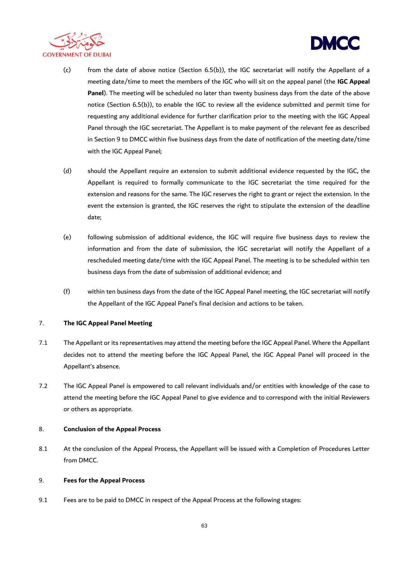



- (c) from the date of above notice (Section 6.5(b)), the IGC secretariat will notify the Appellant of a meeting date/time to meet the members of the IGC who will sit on the appeal panel (the **IGC Appeal Panel**). The meeting will be scheduled no later than twenty business days from the date of the above notice (Section 6.5(b)), to enable the IGC to review all the evidence submitted and permit time for requesting any additional evidence for further clarification prior to the meeting with the IGC Appeal Panel through the IGC secretariat. The Appellant is to make payment of the relevant fee as described in Section 9 to DMCC within five business days from the date of notification of the meeting date/time with the IGC Appeal Panel;
- (d) should the Appellant require an extension to submit additional evidence requested by the IGC, the Appellant is required to formally communicate to the IGC secretariat the time required for the extension and reasons for the same. The IGC reserves the right to grant or reject the extension. In the event the extension is granted, the IGC reserves the right to stipulate the extension of the deadline date;
- (e) following submission of additional evidence, the IGC will require five business days to review the information and from the date of submission, the IGC secretariat will notify the Appellant of a rescheduled meeting date/time with the IGC Appeal Panel. The meeting is to be scheduled within ten business days from the date of submission of additional evidence; and
- (f) within ten business days from the date of the IGC Appeal Panel meeting, the IGC secretariat will notify the Appellant of the IGC Appeal Panel's final decision and actions to be taken.

# 7. **The IGC Appeal Panel Meeting**

- 7.1 The Appellant or its representatives may attend the meeting before the IGC Appeal Panel. Where the Appellant decides not to attend the meeting before the IGC Appeal Panel, the IGC Appeal Panel will proceed in the Appellant's absence.
- 7.2 The IGC Appeal Panel is empowered to call relevant individuals and/or entities with knowledge of the case to attend the meeting before the IGC Appeal Panel to give evidence and to correspond with the initial Reviewers or others as appropriate.

#### 8. **Conclusion of the Appeal Process**

8.1 At the conclusion of the Appeal Process, the Appellant will be issued with a Completion of Procedures Letter from DMCC.

# 9. **Fees for the Appeal Process**

9.1 Fees are to be paid to DMCC in respect of the Appeal Process at the following stages: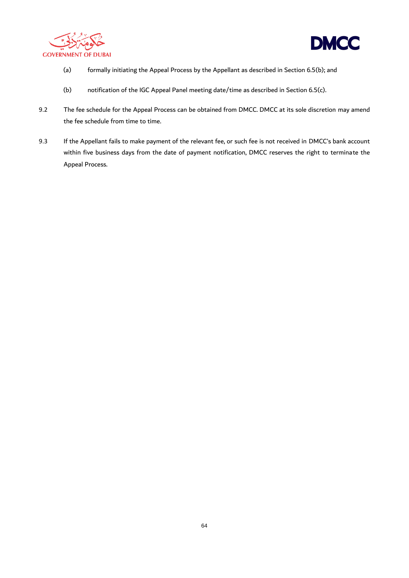



- (a) formally initiating the Appeal Process by the Appellant as described in Section 6.5(b); and
- (b) notification of the IGC Appeal Panel meeting date/time as described in Section 6.5(c).
- 9.2 The fee schedule for the Appeal Process can be obtained from DMCC. DMCC at its sole discretion may amend the fee schedule from time to time.
- 9.3 If the Appellant fails to make payment of the relevant fee, or such fee is not received in DMCC's bank account within five business days from the date of payment notification, DMCC reserves the right to terminate the Appeal Process.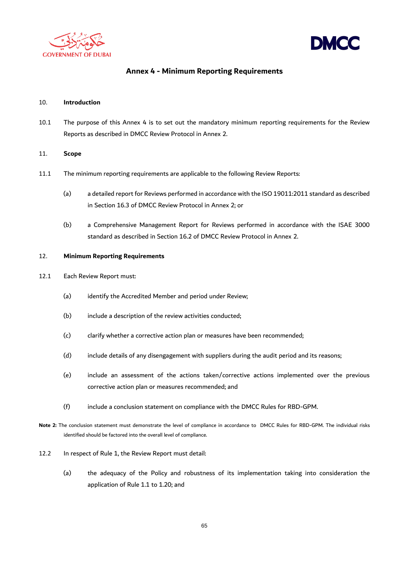



# **Annex 4 - Minimum Reporting Requirements**

# 10. **Introduction**

10.1 The purpose of this Annex 4 is to set out the mandatory minimum reporting requirements for the Review Reports as described in DMCC Review Protocol in Annex 2.

# 11. **Scope**

- 11.1 The minimum reporting requirements are applicable to the following Review Reports:
	- (a) a detailed report for Reviews performed in accordance with the ISO 19011:2011 standard as described in Section 16.3 of DMCC Review Protocol in Annex 2; or
	- (b) a Comprehensive Management Report for Reviews performed in accordance with the ISAE 3000 standard as described in Section 16.2 of DMCC Review Protocol in Annex 2.

# 12. **Minimum Reporting Requirements**

- 12.1 Each Review Report must:
	- (a) identify the Accredited Member and period under Review;
	- (b) include a description of the review activities conducted;
	- (c) clarify whether a corrective action plan or measures have been recommended;
	- (d) include details of any disengagement with suppliers during the audit period and its reasons;
	- (e) include an assessment of the actions taken/corrective actions implemented over the previous corrective action plan or measures recommended; and
	- (f) include a conclusion statement on compliance with the DMCC Rules for RBD-GPM.
- **Note 2:** The conclusion statement must demonstrate the level of compliance in accordance to DMCC Rules for RBD-GPM. The individual risks identified should be factored into the overall level of compliance.
- 12.2 In respect of Rule 1, the Review Report must detail:
	- (a) the adequacy of the Policy and robustness of its implementation taking into consideration the application of Rule 1.1 to 1.20; and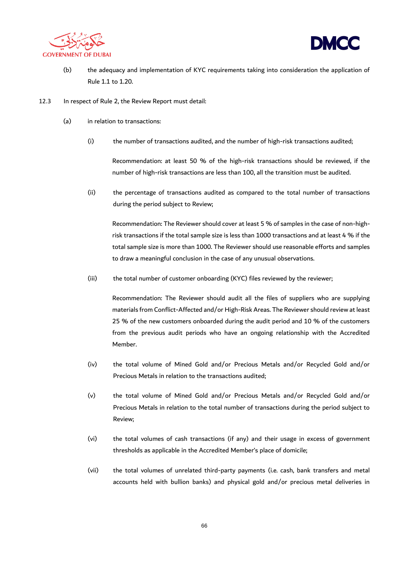



- (b) the adequacy and implementation of KYC requirements taking into consideration the application of Rule 1.1 to 1.20.
- 12.3 In respect of Rule 2, the Review Report must detail:
	- (a) in relation to transactions:
		- (i) the number of transactions audited, and the number of high-risk transactions audited;

Recommendation: at least 50 % of the high-risk transactions should be reviewed, if the number of high-risk transactions are less than 100, all the transition must be audited.

(ii) the percentage of transactions audited as compared to the total number of transactions during the period subject to Review;

Recommendation: The Reviewer should cover at least 5 % of samples in the case of non-highrisk transactions if the total sample size is less than 1000 transactions and at least 4 % if the total sample size is more than 1000. The Reviewer should use reasonable efforts and samples to draw a meaningful conclusion in the case of any unusual observations.

(iii) the total number of customer onboarding (KYC) files reviewed by the reviewer;

Recommendation: The Reviewer should audit all the files of suppliers who are supplying materials from Conflict-Affected and/or High-Risk Areas. The Reviewer should review at least 25 % of the new customers onboarded during the audit period and 10 % of the customers from the previous audit periods who have an ongoing relationship with the Accredited Member.

- (iv) the total volume of Mined Gold and/or Precious Metals and/or Recycled Gold and/or Precious Metals in relation to the transactions audited;
- (v) the total volume of Mined Gold and/or Precious Metals and/or Recycled Gold and/or Precious Metals in relation to the total number of transactions during the period subject to Review;
- (vi) the total volumes of cash transactions (if any) and their usage in excess of government thresholds as applicable in the Accredited Member's place of domicile;
- (vii) the total volumes of unrelated third-party payments (i.e. cash, bank transfers and metal accounts held with bullion banks) and physical gold and/or precious metal deliveries in